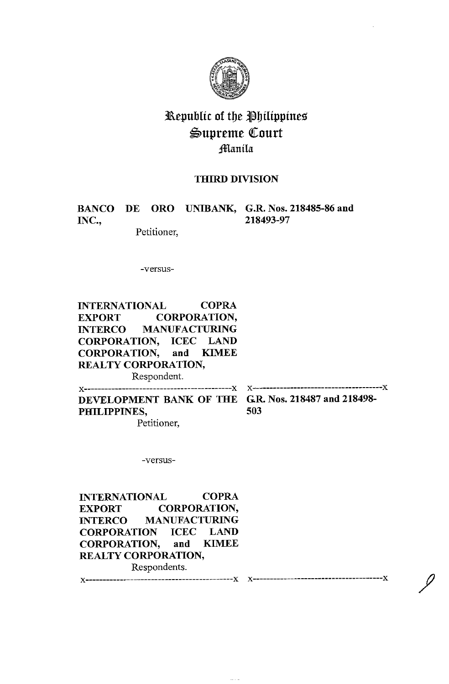

# Republic of the Philippines ~upreme ([ourt Jnlanila

# **THIRD DIVISION**

**INC., 218493-97** 

**BANCO DE ORO UNIBANK, G.R. Nos. 218485-86 and** 

Petitioner,

-versus-

**INTERNATIONAL COPRA EXPORT CORPORATION, INTERCO MANUFACTURING CORPORATION, ICEC LAND CORPORATION, and KIMEE REAL TY CORPORATION,** 

Respondent.

X- --------------X X-------------- X **DEVELOPMENT BANK OF THE GR. Nos. 218487 and 218498- PHILIPPINES, 503** 

Petitioner,

-versus-

INTERNATIONAL COPRA EXPORT CORPORATION, INTERCO MANUFACTURING CORPORATION ICEC LAND CORPORATION, and KIMEE REALTY CORPORATION, Respondents.

x·---------------------x x------•----x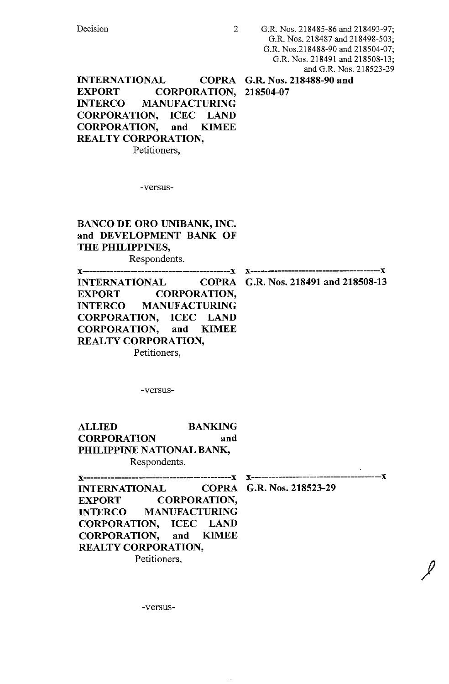**INTERNATIONAL EXPORT CORPORATION, 218504-07 INTERCO MANUFACTURING CORPORATION, ICEC LAND CORPORATION, and KIMEE REALTY CORPORATION,**  Petitioners,

**G.R. Nos. 218488-90 and** 

-versus-

**BANCO DE ORO UNIBANK, INC. and DEVELOPMENT BANK OF THE PHILIPPINES,**  Respondents.

**x-------------x x-----------------x EXPORT CORPORATION, INTERCO MANUFACTURING CORPORATION, ICEC LAND CORPORATION, and KIMEE REALTY CORPORATION,**  Petitioners,

**INTERNATIONAL COPRA G.R. Nos. 218491 and 218508-13** 

-versus-

**ALLIED BANKING CORPORATION and PHILIPPINE NATIONAL BANK,**  Respondents.

 $\mathscr{L}$ 

**x-------------x x----------x EXPORT CORPORATION, INTERCO MANUFACTURING CORPORATION, ICEC LAND CORPORATION, and KIMEE REALTY CORPORATION,** 

Petitioners,

**INTERNATIONAL COPRA G.R. Nos. 218523-29** 

-versus-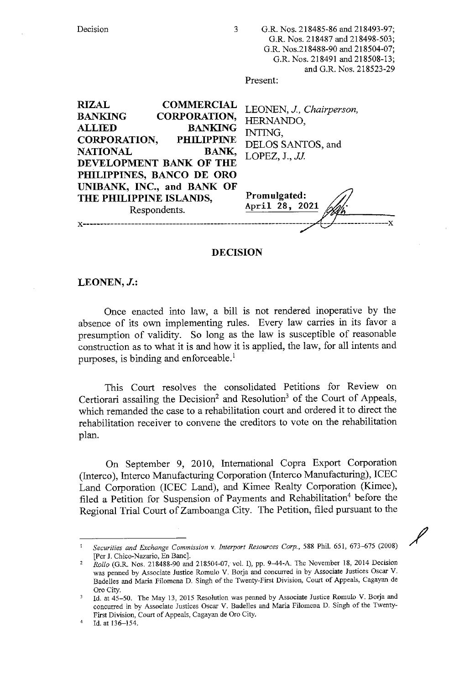| Decision<br>3                                                                                                                                                                                                                                        | G.R. Nos. 218485-86 and 218493-97;<br>G.R. Nos. 218487 and 218498-503;<br>G.R. Nos.218488-90 and 218504-07;<br>G.R. Nos. 218491 and 218508-13;<br>and G.R. Nos. 218523-29<br>Present: |
|------------------------------------------------------------------------------------------------------------------------------------------------------------------------------------------------------------------------------------------------------|---------------------------------------------------------------------------------------------------------------------------------------------------------------------------------------|
| <b>RIZAL</b><br><b>COMMERCIAL</b><br><b>BANKING</b><br><b>CORPORATION,</b><br><b>BANKING</b><br><b>ALLIED</b><br><b>CORPORATION,</b><br><b>PHILIPPINE</b><br><b>NATIONAL</b><br><b>BANK,</b><br>DEVELOPMENT BANK OF THE<br>PHILIPPINES, BANCO DE ORO | LEONEN, J., Chairperson,<br>HERNANDO,<br>INTING.<br>DELOS SANTOS, and<br>LOPEZ, $J.$ , $JJ.$                                                                                          |
| UNIBANK, INC., and BANK OF<br>THE PHILIPPINE ISLANDS,<br>Respondents.                                                                                                                                                                                | Promulgated:<br>April 28, 2021                                                                                                                                                        |

# **DECISION**

# **LEONEN,J.:**

Once enacted into law, a bill is not rendered inoperative by the absence of its own implementing rules. Every law carries in its favor a presumption of validity. So long as the law is susceptible of reasonable construction as to what it is and how it is applied, the law, for all intents and purposes, is binding and enforceable.<sup>1</sup>

This Court resolves the consolidated Petitions for Review on Certiorari assailing the Decision<sup>2</sup> and Resolution<sup>3</sup> of the Court of Appeals, which remanded the case to a rehabilitation court and ordered it to direct the rehabilitation receiver to convene the creditors to vote on the rehabilitation plan.

On September 9, 2010, International Copra Export Corporation (Interco ), Interco Manufacturing Corporation (Interco Manufacturing), ICEC Land Corporation (ICEC Land), and Kimee Realty Corporation (Kimee), filed a Petition for Suspension of Payments and Rehabilitation<sup>4</sup> before the Regional Trial Court of Zamboanga City. The Petition, filed pursuant to the

/

<sup>1</sup>*Securities and Exchange Commission* v. *Interport Resources Corp.,* 588 Phil. 651, 673-675 (2008) [Per J. Chico-Nazario, En Banc].

<sup>2</sup>*Rollo* (G.R. Nos. 218488-90 and 218504-07, vol. I), pp. 9-44-A. The November 18, 2014 Decision was penned by Associate Justice Romulo V. Borja and concurred in by Associate Justices Oscar V. Badelles and Maria Filomena D. Singh of the Twenty-First Division, Court of Appeals, Cagayan de Oro City.

Id. at 45-50. The May 13, 2015 Resolution was penned by Associate Justice Romulo V. Borja and concurred in by Associate Justices Oscar V. Badelles and Maria Filomena D. Singh of the Twenty-First Division, Court of Appeals, Cagayan de Oro City.

Id. at 136-154.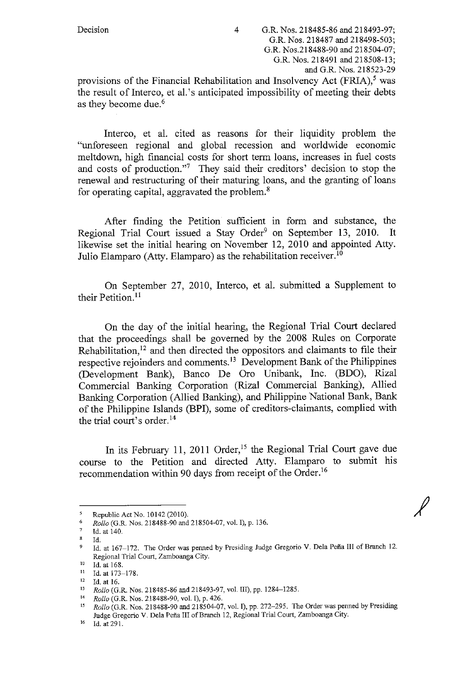provisions of the Financial Rehabilitation and Insolvency Act  $(FRIA)$ ,<sup>5</sup> was the result of Interco, et al.'s anticipated impossibility of meeting their debts as they become due.<sup>6</sup>

Interco, et al. cited as reasons for their liquidity problem the "unforeseen regional and global recession and worldwide economic meltdown, high financial costs for short term loans, increases in fuel costs and costs of production."<sup>7</sup> They said their creditors' decision to stop the renewal and restructuring of their maturing loans, and the granting of loans for operating capital, aggravated the problem. $\delta$ 

After finding the Petition sufficient in form and substance, the Regional Trial Court issued a Stay Order<sup>9</sup> on September 13, 2010. It likewise set the initial hearing on November 12, 2010 and appointed Atty. Julio Elamparo (Atty. Elamparo) as the rehabilitation receiver.<sup>10</sup>

On September 27, 2010, Interco, et al. submitted a Supplement to their Petition.<sup>11</sup>

On the day of the initial hearing, the Regional Trial Court declared that the proceedings shall be governed by the 2008 Rules on Corporate Rehabilitation,<sup>12</sup> and then directed the oppositors and claimants to file their respective rejoinders and comments.<sup>13</sup> Development Bank of the Philippines (Development Bank), Banco De Oro Unibank, Inc. (BDO), Rizal Commercial Banking Corporation (Rizal Commercial Banking), Allied Banking Corporation (Allied Banking), and Philippine National Bank, Bank of the Philippine Islands (BPI), some of creditors-claimants, complied with the trial court's order. <sup>14</sup>

In its February 11, 2011 Order,<sup>15</sup> the Regional Trial Court gave due course to the Petition and directed Atty. Elamparo to submit his recommendation within 90 days from receipt of the Order.<sup>16</sup>

<sup>5</sup> Republic Act No. 10142 (2010).

<sup>&</sup>lt;sup>6</sup> *Rollo* (G.R. Nos. 218488-90 and 218504-07, vol. I), p. 136.

 $\frac{7}{8}$  Id. at 140.

<sup>8</sup> Id.

<sup>&</sup>lt;sup>9</sup> Id. at 167-172. The Order was penned by Presiding Judge Gregorio V. Dela Peña III of Branch 12. **Regional Trial Court, Zamboanga City.** 

<sup>10</sup> Id. at 168.<br>
11 Id. at 173–178.<br>
12 Id. at 16.<br>
13 Rollo (G.R. Nos. 218485-86 and 218493-97, vol. III), pp. 1284–1285.<br>
<sup>14</sup> Rollo (G.R. Nos. 218488-90, vol. I), p. 426.<br>
<sup>14</sup> Rollo (G.R. Nos. 218488-90, vol. I), p. 42 Judge Gregorio V. Dela Pefia III of Branch 12, Regional Trial Court, Zamboanga City.

<sup>16</sup> Id. at 29 I.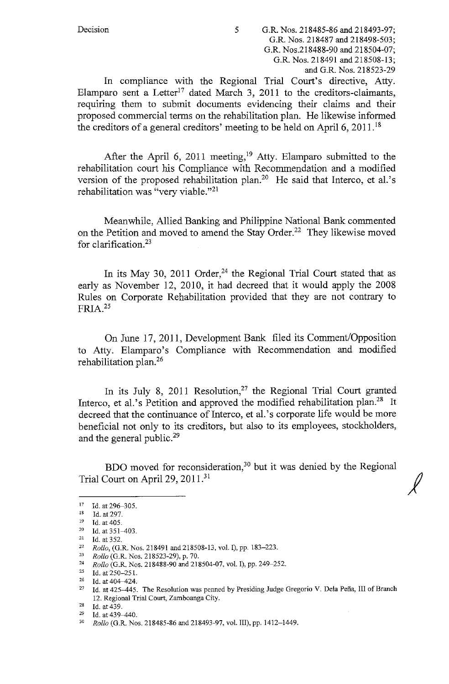In compliance with the Regional Trial Court's directive, Atty. Elamparo sent a Letter<sup>17</sup> dated March 3, 2011 to the creditors-claimants, requiring them to submit documents evidencing their claims and their proposed commercial terms on the rehabilitation plan. He likewise informed the creditors of a general creditors' meeting to be held on April 6, 2011. <sup>18</sup>

After the April 6, 2011 meeting,<sup>19</sup> Atty. Elamparo submitted to the rehabilitation court his Compliance with Recommendation and a modified version of the proposed rehabilitation plan.20 He said that Interco, et al.'s rehabilitation was "very viable."21

Meanwhile, Allied Banking and Philippine National Bank commented on the Petition and moved to amend the Stay Order.<sup>22</sup> They likewise moved for clarification.<sup>23</sup>

In its May 30, 2011 Order,<sup>24</sup> the Regional Trial Court stated that as early as November 12, 2010, it had decreed that it would apply the 2008 Rules on Corporate Rehabilitation provided that they are not contrary to  $FRIA.<sup>25</sup>$ 

On June 17, 2011, Development Bank filed its Comment/Opposition to Atty. Elamparo's Compliance with Recommendation and modified rehabilitation plan.<sup>26</sup>

In its July 8, 2011 Resolution,<sup>27</sup> the Regional Trial Court granted Interco, et al.'s Petition and approved the modified rehabilitation plan.<sup>28</sup> It decreed that the continuance of Interco, et al.'s corporate life would be more beneficial not only to its creditors, but also to its employees, stockholders, and the general public.<sup>29</sup>

BDO moved for reconsideration,<sup>30</sup> but it was denied by the Regional Trial Court on April 29, 2011.<sup>31</sup>

<sup>17</sup> Id. at 296-305.<br>
18 Id. at 297.<br>
19 Id. at 405.<br>
20 Id. at 351-403.<br>
11 Id. at 352.

<sup>22</sup> *Rollo*, (G.R. Nos. 218491 and 218508-13, vol. I), pp. 183–223.<br><sup>23</sup> *Rollo* (G.R. Nos. 218523-29) n. 70

<sup>23</sup> *Rollo* (G.R. Nos. 218523-29), p. 70.

<sup>24</sup> *Rollo* (G.R. Nos. 218488-90 and 218504-07, vol.!), pp. 249-252.

<sup>25</sup> Id. at 250-251.  $26$  Id. at 404-424.

<sup>&</sup>lt;sup>27</sup> Id. at 425-445. The Resolution was penned by Presiding Judge Gregorio V. Dela Peña, III of Branch 12. Regional Trial Court, Zamboanga City.

<sup>&</sup>lt;sup>29</sup> Id. at 439–440.<br><sup>30</sup> *Rollo* (G.R. Nos. 218485-86 and 218493-97, vol. III), pp. 1412–1449.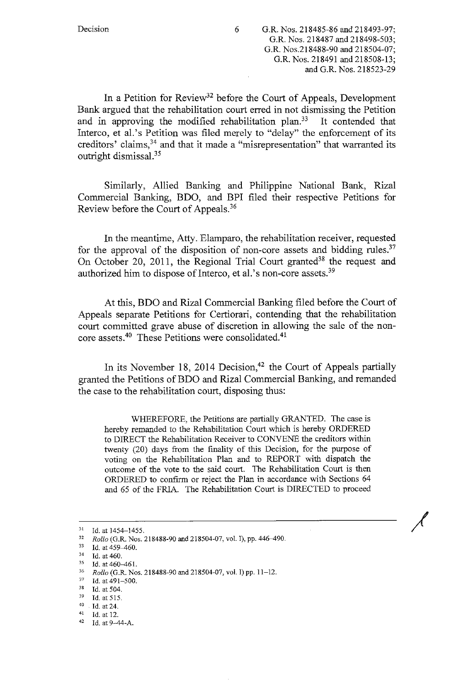In a Petition for Review<sup>32</sup> before the Court of Appeals, Development Bank argued that the rehabilitation court erred in not dismissing the Petition and in approving the modified rehabilitation plan.<sup>33</sup> It contended that Interco, et al.'s Petition was filed merely to "delay" the enforcement of its creditors' claims,<sup>34</sup> and that it made a "misrepresentation" that warranted its outright dismissal.<sup>35</sup>

Similarly, Allied Banking and Philippine National Bank, Rizal Commercial Banking, BDO, and BPI filed their respective Petitions for Review before the Court of Appeals. <sup>36</sup>

In the meantime, Atty. Elamparo, the rehabilitation receiver, requested for the approval of the disposition of non-core assets and bidding rules.<sup>37</sup> On October 20, 2011, the Regional Trial Court granted<sup>38</sup> the request and authorized him to dispose of Interco, et al.'s non-core assets.<sup>39</sup>

At this, BDO and Rizal Commercial Banking filed before the Court of Appeals separate Petitions for Certiorari, contending that the rehabilitation court committed grave abuse of discretion in allowing the sale of the noncore assets.<sup>40</sup> These Petitions were consolidated.<sup>41</sup>

In its November 18, 2014 Decision,<sup>42</sup> the Court of Appeals partially granted the Petitions ofBDO and Rizal Commercial Banking, and remanded the case to the rehabilitation court, disposing thus:

WHEREFORE, the Petitions are partially GRANTED. The case is hereby remanded to the Rehabilitation Court which is hereby ORDERED to DIRECT the Rehabilitation Receiver to CONVENE the creditors within twenty (20) days from the finality of this Decision, for the purpose of voting on the Rehabilitation Plan and to REPORT with dispatch the outcome of the vote to the said court. The Rehabilitation Court is then ORDERED to confirm or reject the Plan in accordance with Sections 64 and 65 of the FRIA. The Rehabilitation Court is DIRECTED to proceed

<sup>31</sup> Id. at 1454-1455.<br>
32 *Rollo* (G.R. Nos. 218488-90 and 218504-07, vol. I), pp. 446-490.<br>
33 Id. at 460.<br>
34 Id. at 460.<br>
35 Id. at 460.

<sup>35</sup> Id. at 460-461.<br>
36 *Rollo* (G.R. Nos. 218488-90 and 218504-07, vol. I) pp. 11-12.<br>
37 Id. at 491-500.<br>
38 Id. at 504.<br>
39 Id. at 515.<br>
40 Id. at 24.<br>
41 Id. at 12.<br>
42 Id. at 9-44-A.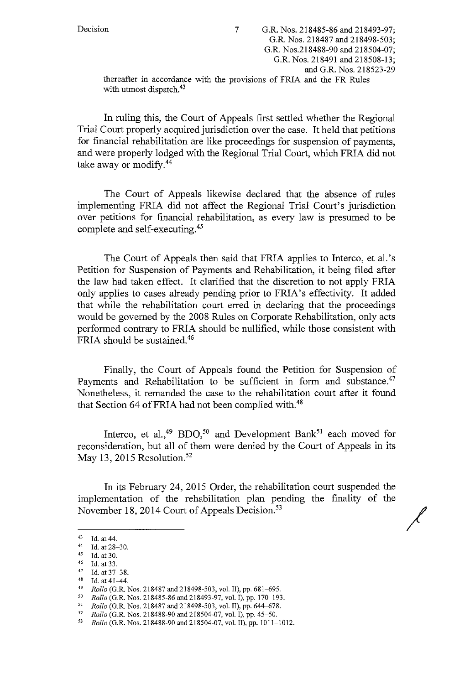Decision 7 G.R. Nos. 218485-86 and 218493-97; G.R. Nos. 218487 and 218498-503; G.R. Nos.218488-90 and 218504-07; G.R. Nos. 218491 and 218508-13; and G.R. Nos. 218523-29 thereafter in accordance with the provisions of FRIA and the FR Rules 7 with utmost dispatch.<sup>43</sup>

In ruling this, the Court of Appeals first settled whether the Regional Trial Court properly acquired jurisdiction over the case. It held that petitions for financial rehabilitation are like proceedings for suspension of payments, and were properly lodged with the Regional Trial Court, which FRIA did not take away or modify.<sup>44</sup>

The Court of Appeals likewise declared that the absence of rules implementing FRIA did not affect the Regional Trial Court's jurisdiction over petitions for financial rehabilitation, as every law is presumed to be complete and self-executing.45

The Court of Appeals then said that FRIA applies to Interco, et al.'s Petition for Suspension of Payments and Rehabilitation, it being filed after the law had taken effect. It clarified that the discretion to not apply FRIA only applies to cases already pending prior to FRIA's effectivity. It added that while the rehabilitation court erred in declaring that the proceedings would be governed by the 2008 Rules on Corporate Rehabilitation, only acts performed contrary to FRIA should be nullified, while those consistent with FRIA should be sustained. 46

Finally, the Court of Appeals found the Petition for Suspension of Payments and Rehabilitation to be sufficient in form and substance.<sup>47</sup> Nonetheless, it remanded the case to the rehabilitation court after it found that Section 64 of FRIA had not been complied with.<sup>48</sup>

Interco, et al.,<sup>49</sup> BDO,<sup>50</sup> and Development Bank<sup>51</sup> each moved for reconsideration, but all of them were denied by the Court of Appeals in its May 13, 2015 Resolution.<sup>52</sup>

In its February 24, 2015 Order, the rehabilitation court suspended the implementation of the rehabilitation plan pending the finality of the November 18, 2014 Court of Appeals Decision.<sup>53</sup>

/

<sup>43</sup> Id. at 44.<br>
44 Id. at 28-30.<br>
45 Id. at 30.<br>
47 Id. at 33.

 $^{47}$  Id. at 37-38.

<sup>&</sup>lt;sup>48</sup> Id. at 41–44.<br> *Rollo* (G.R. Nos. 218487 and 218498-503, vol. II), pp. 681–695.<br> *Rollo* (G.R. Nos. 218485-86 and 218493-97, vol. I), pp. 170–193.<br> *Rollo* (G.R. Nos. 218487 and 218498-503, vol. II), pp. 644–678.<br> *R* 

<sup>52</sup>*Rollo* (G.R. Nos. 218488-90 and 218504-07, vol. I), pp. 45-50. 53 *Rollo* (G.R. Nos. 218488-90 and 218504-07, vol. II), pp. IOI 1-1012.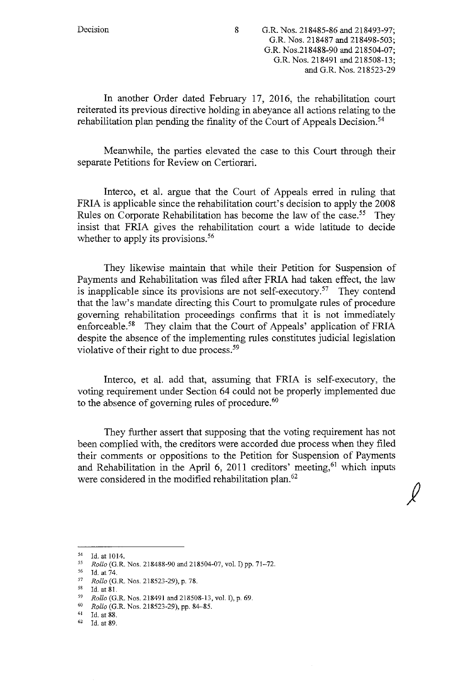Decision 8 G.R. Nos. 218485-86 and 218493-97; G.R. Nos. 218487 and 218498-503; G.R. Nos.218488-90 and 218504-07; G.R. Nos. 218491 and 218508-13; and G.R. Nos. 218523-29

In another Order dated February 17, 2016, the rehabilitation court reiterated its previous directive holding in abeyance all actions relating to the rehabilitation plan pending the finality of the Court of Appeals Decision.<sup>54</sup>

Meanwhile, the parties elevated the case to this Court through their separate Petitions for Review on Certiorari.

Interco, et al. argue that the Court of Appeals erred in ruling that FRIA is applicable since the rehabilitation court's decision to apply the 2008 Rules on Corporate Rehabilitation has become the law of the case.<sup>55</sup> They insist that FRIA gives the rehabilitation court a wide latitude to decide whether to apply its provisions.<sup>56</sup>

They likewise maintain that while their Petition for Suspension of Payments and Rehabilitation was filed after FRIA had taken effect, the law is inapplicable since its provisions are not self-executory.<sup>57</sup> They contend that the law's mandate directing this Court to promulgate rules of procedure governing rehabilitation proceedings confirms that it is not immediately enforceable.<sup>58</sup> They claim that the Court of Appeals' application of FRIA despite the absence of the implementing rules constitutes judicial legislation violative of their right to due process.<sup>59</sup>

Interco, et al. add that, assuming that FRIA is self-executory, the voting requirement under Section 64 could not be properly implemented due to the absence of governing rules of procedure.<sup>60</sup>

They further assert that supposing that the voting requirement has not been complied with, the creditors were accorded due process when they filed their comments or oppositions to the Petition for Suspension of Payments and Rehabilitation in the April 6, 2011 creditors' meeting,<sup>61</sup> which inputs were considered in the modified rehabilitation plan.<sup>62</sup>

 $\frac{54}{55}$  Id. at 1014.

<sup>55</sup> *Rollo* (G.R\_ Nos. 218488-90 and 218504-07, vol. I) pp. 71-72.

 $^{56}$  Id. at 74.

<sup>57</sup>*Rollo* (G.R. Nos. 218523-29), p. 78.

Id. at 81.

<sup>59</sup>*Rollo* (G.R. Nos. 218491 and 218508-13, vol. I), p. 69.

<sup>60</sup>*Rollo* (G.R. Nos. 218523-29), pp. 84-85.

 $^{61}$  Id. at 88.<br> $^{62}$  Id. at 89.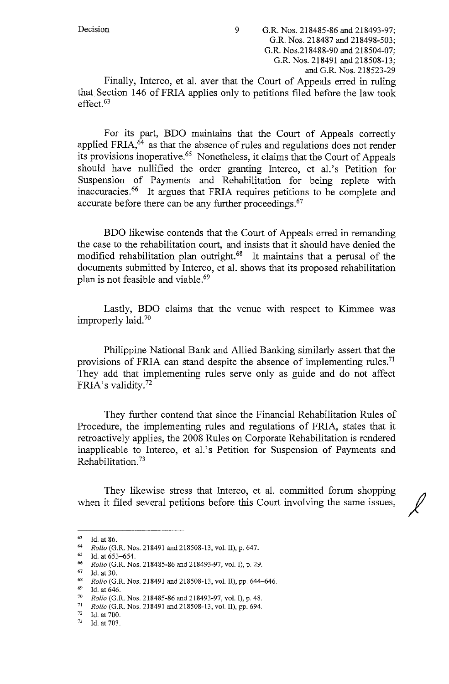that Section 146 ofFRIA applies only to petitions filed before the law took effect.<sup>63</sup>

For its part, BDO maintains that the Court of Appeals correctly applied FRIA,<sup>64</sup> as that the absence of rules and regulations does not render its provisions inoperative.<sup>65</sup> Nonetheless, it claims that the Court of Appeals should have nullified the order granting Interco, et al.'s Petition for Suspension of Payments and Rehabilitation for being replete with inaccuracies. 66 It argues that FRIA requires petitions to be complete and accurate before there can be any further proceedings.<sup>67</sup>

BDO likewise contends that the Court of Appeals erred in remanding the case to the rehabilitation court, and insists that it should have denied the modified rehabilitation plan outright.68 It maintains that a perusal of the documents submitted by Interco, et al. shows that its proposed rehabilitation plan is not feasible and viable.<sup>69</sup>

Lastly, BDO claims that the venue with respect to Kimmee was improperly laid.70

Philippine National Bank and Allied Banking similarly assert that the provisions of FRIA can stand despite the absence of implementing rules.<sup>71</sup> They add that implementing rules serve only as guide and do not affect FRIA's validity. <sup>72</sup>

They further contend that since the Financial Rehabilitation Rules of Procedure, the implementing rules and regulations of FRIA, states that it retroactively applies, the 2008 Rules on Corporate Rehabilitation is rendered inapplicable to Interco, et al.'s Petition for Suspension of Payments and Rehabilitation. 73 ·

They likewise stress that Interco, et al. committed forum shopping when it filed several petitions before this Court involving the same issues,

<sup>63</sup> Id. at 86.

<sup>64</sup> *Rollo* (G.R. Nos. 218491 and 218508-13, vol. II), p. 647.

Id. at 653-654.

<sup>66</sup> *Rollo* (G.R. Nos. 218485-86 and 218493-97, vol.!), p. 29.

 $^{67}$  Id. at 30.

*Rollo* (G.R. Nos. 218491 and 218508-13, vol. II), pp. 644-646.

<sup>69</sup>Id. at 646. 70 *Rollo* (G.R. Nos. 218485-86 and 218493-97, vol. I), p. 48. 71 *Rollo* (G.R. Nos. 218491 and 218508-13, vol. II), pp. 694.

 $^{72}$  Id. at 700.<br> $^{73}$  Id. at 703.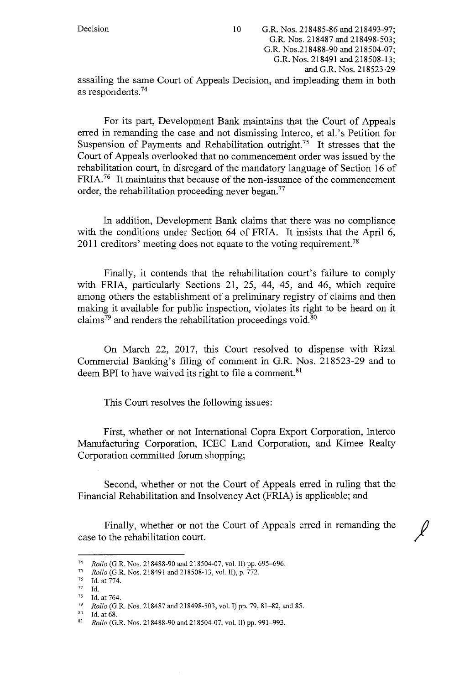Decision 10 G.R. Nos. 218485-86 and 218493-97; G.R. Nos. 218487 and 218498-503; G.R. Nos.218488-90 and 218504-07; G.R. Nos. 218491 and 218508-13; and G.R. Nos. 218523-29 assailing the same Court of Appeals Decision, and impleading them in both as respondents.74

For its part, Development Bank maintains that the Court of Appeals erred in remanding the case and not dismissing Interco, et al.'s Petition for Suspension of Payments and Rehabilitation outright.<sup>75</sup> It stresses that the Court of Appeals overlooked that no commencement order was issued by the rehabilitation court, in disregard of the mandatory language of Section 16 of FRIA.<sup>76</sup> It maintains that because of the non-issuance of the commencement order, the rehabilitation proceeding never began.77

In addition, Development Bank claims that there was no compliance with the conditions under Section 64 of FRIA. It insists that the April 6, 2011 creditors' meeting does not equate to the voting requirement.<sup>78</sup>

Finally, it contends that the rehabilitation court's failure to comply with FRIA, particularly Sections 21, 25, 44, 45, and 46, which require among others the establishment of a preliminary registry of claims and then making it available for public inspection, violates its right to be heard on it claims<sup>79</sup> and renders the rehabilitation proceedings void.<sup>80</sup>

On March 22, 2017, this Court resolved to dispense with Rizal Commercial Banking's filing of comment in G.R. Nos. 218523-29 and to deem BPI to have waived its right to file a comment.<sup>81</sup>

This Court resolves the following issues:

First, whether or not International Copra Export Corporation, Interco Manufacturing Corporation, ICEC Land Corporation, and Kimee Realty Corporation committed forum shopping;

Second, whether or not the Court of Appeals erred in ruling that the Financial Rehabilitation and Insolvency Act (FRIA) is applicable; and

Finally, whether or not the Court of Appeals erred in remanding the case to the rehabilitation court.

 $\ell$ 

<sup>74</sup> *Rollo* (G.R. Nos. 218488-90 and 218504-07, vol. II) pp. 695–696.<br> $\frac{1}{2}$  *Rollo* (G.R. Nos. 218491 and 218508-13, vol. II) p. 772

<sup>75</sup> *Rollo* (G.R. Nos. 218491 and218508-13, vol. II), p. 772.

<sup>76</sup> Id. at 774.

 $\frac{77}{78}$  Id.

<sup>&</sup>lt;sup>78</sup> Id. at 764,<br><sup>79</sup> Pollo (G I

<sup>79</sup>*Rollo* (G.R. Nos. 218487 and 218498-503, vol. I) pp. 79, 81-82, and 85. 80 Id. at 68. 81 *Rollo* (G.R. Nos. 218488-90 and 218504-07, vol. II) pp. 991-993.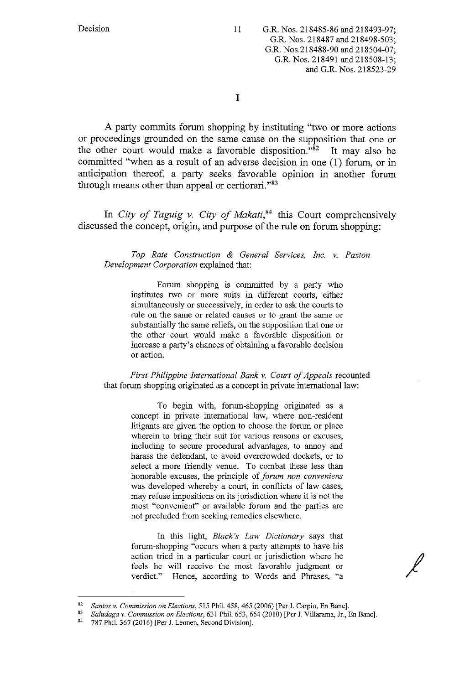I

A party commits forum shopping by instituting "two or more actions or proceedings grounded on the same cause on the supposition that one or the other court would make a favorable disposition."82 It may also be committed "when as a result of an adverse decision in one (1) forum, or in anticipation thereof, a party seeks favorable opinion in another forum through means other than appeal or certiorari."<sup>83</sup>

In *City of Taguig v. City of Makati*,<sup>84</sup> this Court comprehensively discussed the concept, origin, and purpose of the rule on forum shopping:

*Top Rate Construction & General Services, Inc. v. Paxton Development Corporation* explained that:

> Forum shopping is committed by a party who institutes two or more suits in different courts, either simultaneously or successively, in order to ask the courts to rule on the same or related causes or to grant the same or substantially the same reliefs, on the supposition that one or the other court would make a favorable disposition or increase a party's chances of obtaining a favorable decision or action.

*First Philippine International Bank v. Court of Appeals* recounted that forum shopping originated as a concept in private international law:

> To begin with, forum-shopping originated as a concept in private international law, where non-resident litigants are given the option to choose the forum or place wherein to bring their suit for various reasons or excuses, including to secure procedural advantages, to annoy and harass the defendant, to avoid overcrowded dockets, or to select a more friendly venue. To combat these less than honorable excuses, the principle of *forum non conveniens*  was developed whereby a court, in conflicts of law cases, may refuse impositions on its jurisdiction where it is not the most "convenient" or available forum and the parties are not precluded from seeking remedies elsewhere.

> In this light, *Black's Law Dictionary* says that forum-shopping "occurs when a party attempts to have his action tried in a particular court or jurisdiction where he feels he will receive the most favorable judgment or verdict." Hence, according to Words and Phrases, "a

<sup>82</sup>*Santos v. Commission on Elections,* 515 Phil. 458,465 (2006) [Per J. Carpio, En Banc]. 83 *Saludaga v. Commission on Elections,* 631 Phil. 653,664 (2010) [Per J. Villarama, Jr., En Banc].

<sup>&</sup>lt;sup>84</sup> 787 Phil. 367 (2016) [Per J. Leonen, Second Division].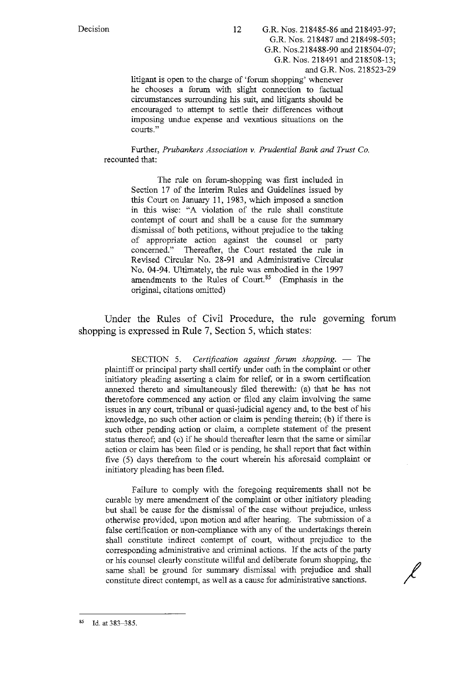litigant is open to the charge of 'forum shopping' whenever he chooses a forum with slight connection to factual circumstances surrounding his suit, and litigants should be encouraged to attempt to settle their differences without imposing undue expense and vexatious situations on the courts."

Further, *Prubankers Association* v. *Prudential Bank and Trust Co.*  recounted that:

> The rule on forum-shopping was first included in Section 17 of the Interim Rules and Guidelines issued by this Court on January 11, 1983, which imposed a sanction in this wise: "A violation of the rule shall constitute contempt of court and shall be a cause for the summary dismissal of both petitions, without prejudice to the taking of appropriate action against the counsel or party concerned." Thereafter, the Court restated the rule in Revised Circular No. 28-91 and Administrative Circular No. 04-94. Ultimately, the rule was embodied in the 1997 amendments to the Rules of Court.<sup>85</sup> (Emphasis in the original, citations omitted)

Under the Rules of Civil Procedure, the rule governing forum shopping is expressed in Rule 7, Section 5, which states:

SECTION 5. *Certification against forum shopping.* - The plaintiff or principal party shall certify under oath in the complaint or other initiatory pleading asserting a claim for relief, or in a sworn certification annexed thereto and simultaneously filed therewith: (a) that he has not theretofore commenced any action or filed any claim involving the same issues in any court, tribunal or quasi-judicial agency and, to the best of his knowledge, no such other action or claim is pending therein; (b) if there is such other pending action or claim, a complete statement of the present status thereof; and (c) if he should thereafter learn that the same or similar action or claim has been filed or is pending, he shall report that fact within five (5) days therefrom to the court wherein his aforesaid complaint or initiatory pleading has been filed.

Failure to comply with the foregoing requirements shall not be curable by mere amendment of the complaint or other initiatory pleading but shall be cause for the dismissal of the case without prejudice, unless otherwise provided, upon motion and after hearing. The submission of a false certification or non-compliance with any of the undertakings therein shall constitute indirect contempt of court, without prejudice to the corresponding administrative and criminal actions. If the acts of the party or his counsel clearly constitute willful and deliberate forum shopping, the same shall be ground for summary dismissal with prejudice and shall constitute direct contempt, as well as a cause for administrative sanctions.

<sup>85</sup> **Id. at 383-385.**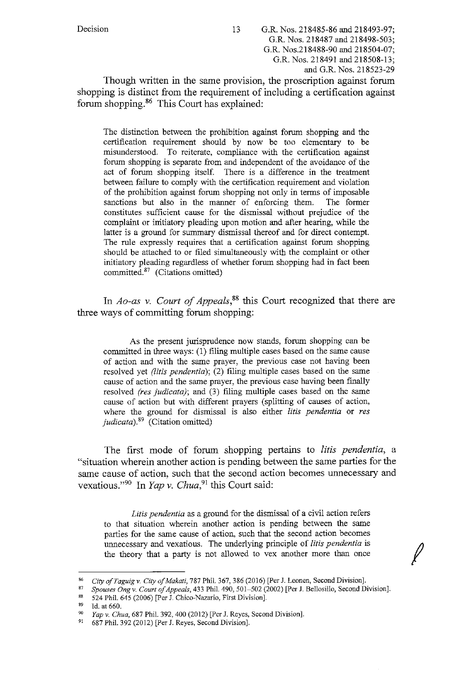Though written in the same provision, the proscription against forum shopping is distinct from the requirement of including a certification against forum shopping. 86 This Court has explained:

The distinction between the prohibition against forum shopping and the certification requirement should by now be too elementary to be misunderstood. To reiterate, compliance with the certification against forum shopping is separate from and independent of the avoidance of the act of forum shopping itself. There is a difference in the treatment between failure to comply with the certification requirement and violation of the prohibition against forum shopping not only in terms of imposable sanctions but also in the manner of enforcing them. The former constitutes sufficient cause for the dismissal without prejudice of the complaint or initiatory pleading upon motion and after hearing, while the latter is a ground for summary dismissal thereof and for direct contempt. The rule expressly requires that a certification against forum shopping should be attached to or filed simultaneously with the complaint or other initiatory pleading regardless of whether forum shopping had in fact been committed.<sup>87</sup> (Citations omitted)

In *Ao-as v. Court of Appeals*,<sup>88</sup> this Court recognized that there are three ways of committing forum shopping:

As the present jurisprudence now stands, forum shopping can be committed in three ways: (1) filing multiple cases based on the same cause of action and with the same prayer, the previous case not having been resolved yet *(litis pendentia);* (2) filing multiple cases based on the same cause of action and the same prayer, the previous case having been finally resolved *(res judicata);* and (3) filing multiple cases based on the same cause of action but with different prayers (splitting of causes of action, where the ground for dismissal is also either *litis pendentia* or *res judicata).* 89 (Citation omitted)

The first mode of forum shopping pertains to *litis pendentia,* a "situation wherein another action is pending between the same parties for the same cause of action, such that the second action becomes unnecessary and vexatious."<sup>90</sup> In *Yap v. Chua*,<sup>91</sup> this Court said:

*Litis pendentia* as a ground for the dismissal of a civil action refers to that situation wherein another action is pending between the same parties for the same cause of action, such that the second action becomes unnecessary and vexatious. The underlying principle of *litis pendentia* is the theory that a party is not allowed to vex another more than once

<sup>87</sup>*Spouses Ong v. Court of Appeals,* 433 Phil. 490, 501-502 (2002) [Per J. Bellosillo, Second Division].

<sup>88</sup> 524 Phil. 645 (2006) [Per J. Chico-Nazario, First Division].<br><sup>89</sup> Id. at 660

<sup>86</sup> *City ofTaguig v. City of Makati,* 787 Phil. 367, 386 (2016) [Per J. Leanen, Second Division].

Id. at 660.

<sup>90</sup> *Yap v. Chua,* 687 Phil. 392,400 (2012) [Per J. Reyes, Second Division].

<sup>91</sup> 687 Phil. 392 (2012) [Per J. Reyes, Second Division].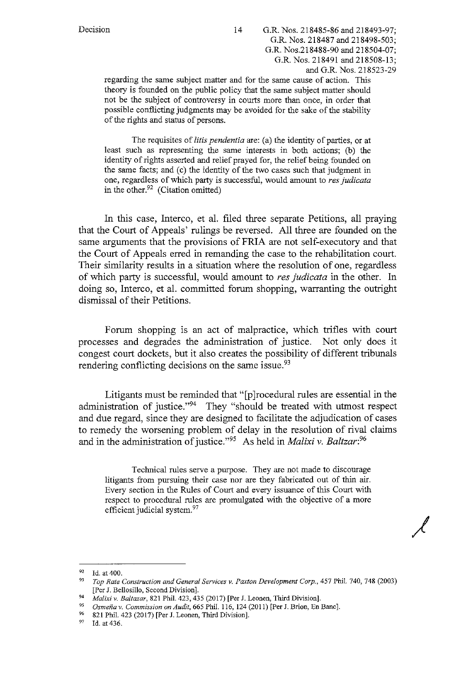regarding the same subject matter and for the same cause of action. This theory is founded on the public policy that the same subject matter should not be the subject of controversy in courts more than once, in order that possible conflicting judgments may be avoided for the sake of the stability of the rights and status of persons.

The requisites of *litis pendentia* are: (a) the identity of parties, or at least such as representing the same interests in both actions; (b) the identity of rights asserted and relief prayed for, the relief being founded on the same facts; and (c) the identity of the two cases such that judgment in one, regardless of which party is successful, would amount to *res judicata*  in the other. $92$  (Citation omitted)

In this case, Interco, et al. filed three separate Petitions, all praying that the Court of Appeals' rulings be reversed. All three are founded on the same arguments that the provisions of FRIA are not self-executory and that the Court of Appeals erred in remanding the case to the rehabilitation court. Their similarity results in a situation where the resolution of one, regardless of which party is successful, would amount to *res judicata* in the other. In doing so, Interco, et al. committed forum shopping, warranting the outright dismissal of their Petitions.

Forum shopping is an act of malpractice, which trifles with court processes and degrades the administration of justice. Not only does it congest court dockets, but it also creates the possibility of different tribunals rendering conflicting decisions on the same issue.<sup>93</sup>

Litigants must be reminded that "[p]rocedural rules are essential in the administration of justice."94 They "should be treated with utmost respect and due regard, since they are designed to facilitate the adjudication of cases to remedy the worsening problem of delay in the resolution of rival claims and in the administration of justice."95 As held in *Malixi v. Baltzar:*<sup>96</sup>

Technical rules serve a purpose. They are not made to discourage litigants from pursuing their case nor are they fabricated out of thin air. Every section in the Rules of Court and every issuance of this Court with respect to procedural rules are promulgated with the objective of a more efficient judicial system.<sup>97</sup>

<sup>&</sup>lt;sup>92</sup> Id. at 400.<br><sup>93</sup> *Top Rate Construction and General Services v. Paxton Development Corp.*, 457 Phil. 740, 748 (2003)

<sup>[</sup>Per J. Bellosillo, Second Division]. 94 *Malixiv. Baltazar,* 821 Phil. 423,435 (2017) [Per J. Leanen, Third Division]. 95 *Osmefia v. Commission on Audit,* 665 Phil. 116, 124(2011) [Per J. Brion, En Banc].

<sup>&</sup>lt;sup>96</sup> 821 Phil. 423 (2017) [Per J. Leonen, Third Division].<br><sup>97</sup> Id. et 426

Id. at 436.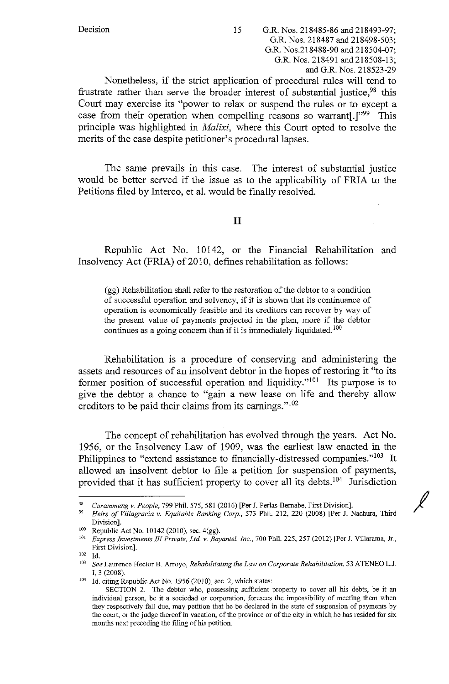Nonetheless, if the strict application of procedural rules will tend to frustrate rather than serve the broader interest of substantial justice,<sup>98</sup> this Court may exercise its "power to relax or suspend the rules or to except a case from their operation when compelling reasons so warrant[.]"<sup>99</sup> This principle was highlighted in *Malixi,* where this Court opted to resolve the merits of the case despite petitioner's procedural lapses.

The same prevails in this case. The interest of substantial justice would be better served if the issue as to the applicability of FRIA to the Petitions filed by Interco, et al. would be finally resolved.

# II

Republic Act No. 10142, or the Financial Rehabilitation and Insolvency Act (FRIA) of 2010, defines rehabilitation as follows:

(gg) Rehabilitation shall refer to the restoration of the debtor to a condition of successful operation and solvency, if it is shown that its continuance of operation is economically feasible and its creditors can recover by way of the present value of payments projected in the plan, more if the debtor continues as a going concern than if it is immediately liquidated.<sup>100</sup>

Rehabilitation is a procedure of conserving and administering the assets and resources of an insolvent debtor in the hopes of restoring it "to its former position of successful operation and liquidity."<sup>101</sup> Its purpose is to give the debtor a chance to "gain a new lease on life and thereby allow creditors to be paid their claims from its earnings."<sup>102</sup>

The concept of rehabilitation has evolved through the years. Act No. 1956, or the Insolvency Law of 1909, was the earliest law enacted in the Philippines to "extend assistance to financially-distressed companies."<sup>103</sup> It allowed an insolvent debtor to file a petition for suspension of payments, provided that it has sufficient property to cover all its debts. 104 Jurisdiction

<sup>98</sup>*Curammeng* v. *People,* 799 Phil. 575, 581 (2016) [Per J. Perlas-Bernabe, First Division].

<sup>99</sup>*Heirs of Villagracia* v. *Equitable Banking Corp.,* 573 Phil. 212, 220 (2008) [Per J. Nachnra, Third Division]. 100 Republic Act No. 10142 (2010), sec. 4(gg). 101 *Express Investments III Private, Ltd.* v. *Bayantel, Inc.,* 700 Phil. 225, 257 (2012) [Per J. Villarama, Jr.,

First Division].

<sup>102</sup> Id.

<sup>103</sup>*See* Laurence Hector B. Arroyo, *Rehabilitating the Law on Corporate Rehabilitation,* 53 ATENEO L.J. I, 3 (2008).<br><sup>104</sup> Id. citing Republic Act No. 1956 (2010), sec. 2, which states:

SECTION 2. The debtor who, possessing sufficient property to cover all his debts, be it an individual person, be it a sociedad or corporation, foresees the impossibility of meeting them when they respectively fall due, may petition that he be declared in the state of suspension of payments by the court, or the judge thereof in vacation, of the province or of the city in which he has resided for six months next preceding the filing of his petition.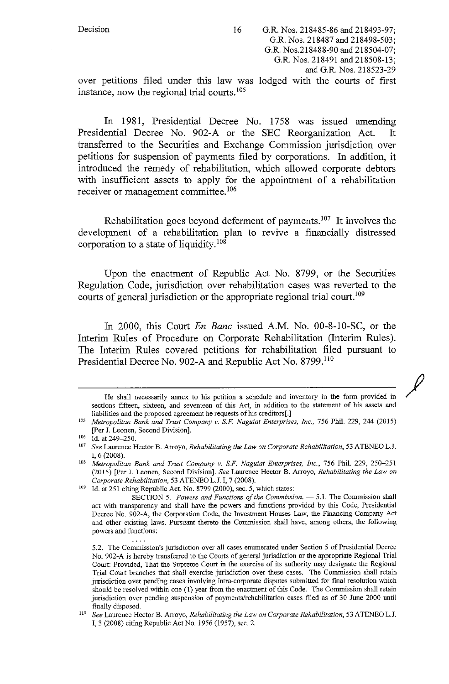In 1981, Presidential Decree No. 1758 was issued amending Presidential Decree No. 902-A or the SEC Reorganization Act. It transferred to the Securities and Exchange Commission jurisdiction over petitions for suspension of payments filed by corporations. In addition, it introduced the remedy of rehabilitation, which allowed corporate debtors with insufficient assets to apply for the appointment of a rehabilitation receiver or management committee.<sup>106</sup>

Rehabilitation goes beyond deferment of payments.<sup>107</sup> It involves the development of a rehabilitation plan to revive a financially distressed corporation to a state of liquidity.<sup>108</sup>

Upon the enactment of Republic Act No. 8799, or the Securities Regulation Code, jurisdiction over rehabilitation cases was reverted to the courts of general jurisdiction or the appropriate regional trial court.<sup>109</sup>

In 2000, this Court *En Banc* issued A.M. No. 00-8-10-SC, or the Interim Rules of Procedure on Corporate Rehabilitation (Interim Rules). The Interim Rules covered petitions for rehabilitation filed pursuant to Presidential Decree No. 902-A and Republic Act No. 8799.<sup>110</sup>

 $\overline{\rho}$ 

He shall necessarily annex to his petition a schedule and inventory in the form provided in **sections fifteen, sixteen, and seventeen of this Act, in addition to the statement of his assets and**  liabilities and the proposed agreement he requests of his creditors[.]

<sup>105</sup>*Metropolitan Bank and Trust Company v. S.F. Naguiat Enterprises. Inc.,* 756 Phil. 229, 244 (2015) [Per J. Leonen, Second Division].

 $106$  Id. at 249-250.

<sup>107</sup>See Laurence Hector B. Arroyo, *Rehabilitating the Law on Corporate Rehabilitation,* 53 ATENEO L.J. I, 6 (2008). 108 *Metropolitan Bank and Trust Company v. S.F. Naguiat Enterprises, Inc.,* 756 Phil. 229, 250-251

<sup>(2015) [</sup>Per J. Leonen, Second Division]. See Laurence Hector B. Arroyo, *Rehabilitating the Law on* 

*Corporate Rehabilitation, 53 ATENEO L.J. I, 7 (2008).* 109 Id. at 251 citing Republic Act. No. 8799 (2000), sec. 5, which states:

SECTION 5. Powers and Functions of the Commission. - 5.1. The Commission shall act with transparency and shall have the powers and functions provided by this Code, Presidential Decree No. 902-A, the Corporation Code, the Investment Houses Law, the Financing Company Act and other existing laws. Pursuant thereto the Commission shall have, among others, the following powers and functions:

**<sup>5.2.</sup> The Commission's jurisdiction over all cases enumerated under Section 5 of Presidential Decree**  No. 902-A is hereby transferred to the Courts of general jurisdiction or the appropriate Regional Trial Court: Provided, That the Supreme Court in the exercise of its authority may designate the Regional Trial Court branches that shall exercise jurisdiction over these cases. The Commission shall retain jurisdiction over pending cases involving intra-corporate disputes submitted for fmal resolution which should be resolved within one (1) year from the enactment of this Code. The Commission shall retain jurisdiction over pending suspension of payments/rehabilitation cases filed as of 30 June 2000 until finally disposed. 110 See Laurence Hector B. Arroyo, *Rehabilitating the Law on Corporate Rehabilitation,* 53 ATENEO L.J.

I, 3 (2008) citing Republic Act No. 1956 (1957), sec. 2.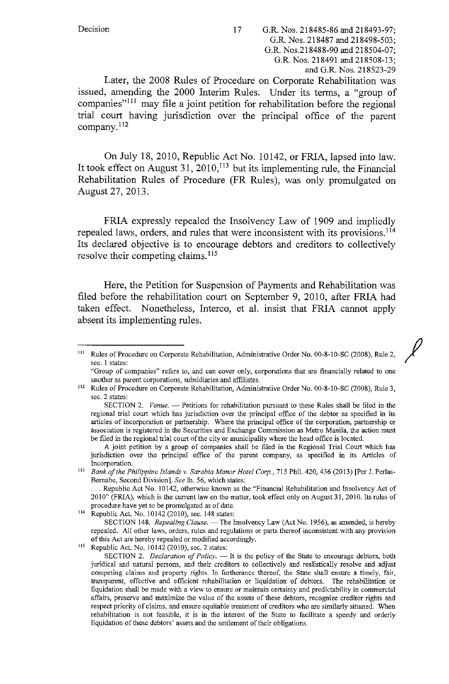*I* 

Later, the 2008 Rules of Procedure on Corporate Rehabilitation was issued, amending the 2000 Interim Rules. Under its terms, a "group of companies"<sup>111</sup> may file a joint petition for rehabilitation before the regional trial court having jurisdiction over the principal office of the parent company.<sup>112</sup>

On July 18, 2010, Republic Act No. 10142, or FRlA, lapsed into law. It took effect on August 31, 2010,  $113$  but its implementing rule, the Financial Rehabilitation Rules of Procedure **(FR** Rules), was only promulgated on August 27, 2013.

FRlA expressly repealed the Insolvency Law of 1909 and impliedly repealed laws, orders, and rules that were inconsistent with its provisions. <sup>114</sup> Its declared objective is to encourage debtors and creditors to collectively resolve their competing claims.<sup>115</sup>

Here, the Petition for Suspension of Payments and Rehabilitation was filed before the rehabilitation court on September 9, 2010, after FRlA had taken effect. Nonetheless, Interco, et al. insist that FRlA cannot apply absent its implementing rules.

**"Group of companies" refers to, and can cover only, corporations that are financially related to one**  another as parent corporations, subsidiaries and affiliates. 112 Rules of Procedure on Corporate Rehabilitation, Administrative Order No. 00-8-10-SC (2008), Rule 3,

sec. 2 states:

SECTION 2. *Venue.* - Petitions for rehabilitation pursuant to these Rules shall be filed in the regional trial court which has jurisdiction over the principal office of the debtor as specified in its articles of incorporation or partnership. Where the principal office of the corporation, partnership or **association is registered in the Securities and Exchange Commission as Metro Manila, the action must**  be filed in the regional trial court of the city or municipality where the head office is located.

A joint petition by a group of companies shall be filed in the Regional Trial Court which has jurisdiction over the principal office of the parent company, as specified in its Articles of **Incorporation.** 

<sup>113</sup>*Bank of the Philippine Islands v. Sarabia Manor Hotel Corp.,* **715 Phil. 420,436 (2013) [Per J. Perlas-**Bernabe, Second Division]. *See* fn. 56, which states:

... Republic Act No. 10142, otherwise known as the "Financial Rehabilitation and Insolvency Act of 2010" (FRIA), which is the current law on the matter, took effect only on August 31, 2010. Its rules of

procedure have yet to be promulgated as of date.<br><sup>114</sup> Republic Act. No. 10142 (2010), sec. 148 states:

SECTION 148. *Repealing Clause.* - The Insolvency Law (Act No. 1956), as amended, is hereby **repealed. All other laws, orders, rules and regulations or parts thereof inconsistent with any provision of this Act are hereby repealed or modified accordingly.** 

115 Republic Act. No. 10142 (2010), sec. 2 states:

SECTION 2. *Declaration of Policy*. - It is the policy of the State to encourage debtors, both juridical and natural persons, and their creditors to collectively and realistically resolve and adjust **competing claims and property rights. In furtherance thereof, the State shall ensure a timely, fair,**  transparent, effective and efficient rehabilitation or liquidation of debtors. The rehabilitation or **liquidation shall be made with a view to ensure or maintain certainty and predictability in commercial**  affairs, preserve and maximize the value of the assets of these debtors, recognize creditor rights and respect priority of claims, and ensure equitable treatment of creditors who are similarly situated. When rehabilitation is not feasible, it is in the interest of the State to facilitate a speedy and orderly liquidation of these debtors' assets and the settlement of their obligations.

<sup>111</sup> Rules of Procedure on Corporate Rehabilitation, Administrative Order No. 00-8-10-SC (2008), Rule 2, **sec. 1 states:**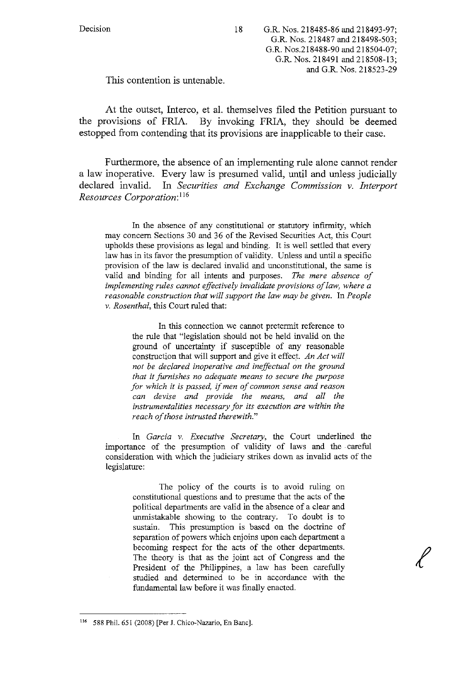This contention is untenable.

At the outset, Interco, et al. themselves filed the Petition pursuant to the provisions of FRIA. By invoking FRIA, they should be deemed estopped from contending that its provisions are inapplicable to their case.

Furthermore, the absence of an implementing rule alone cannot render a law inoperative. Every law is presumed valid, until and unless judicially declared invalid. In *Securities and Exchange Commission v. Interport Resources Corporation:* <sup>116</sup>

1n the absence of any constitutional or statutory infirmity, which may concern Sections 30 and 36 of the Revised Securities Act, this Court upholds these provisions as legal and binding. It is well settled that every law has in its favor the presumption of validity. Unless and until a specific provision of the law is declared invalid and unconstitutional, the same is valid and binding for all intents and purposes. *The mere absence of implementing rules cannot effectively invalidate provisions of law, where a*  reasonable construction that will support the law may be given. In People *v. Rosenthal,* this Court ruled that:

In this connection we cannot pretermit reference to the rule that "legislation should not be held invalid on the ground of uncertainty if susceptible of any reasonable construction that will support and give it effect. *An Act will not be declared inoperative and ineffectual on the ground that it furnishes no adequate means to secure the purpose for which it is passed,* if *men of common sense and reason can devise and provide the means, and all the instrumentalities necessary for its execution are within the reach of those intrusted therewith."* 

In *Garcia v. Executive Secretary,* the Court underlined the importance of the presumption of validity of laws and the careful consideration with which the judiciary strikes down as invalid acts of the legislature:

The policy of the courts is to avoid ruling on constitutional questions and to presume that the acts of the political departments are valid in the absence of a clear and unmistakable showing to the contrary. To doubt is to sustain. This presumption is based on the doctrine of separation of powers which enjoins upon each department a becoming respect for the acts of the other departments. The theory is that as the joint act of Congress and the President of the Philippines, a law has been carefully studied and determined to be in accordance with the fundamental law before it was finally enacted.

<sup>116 588</sup> Phil. 651 (2008) [Per J. Chico-Nazario, En Banc].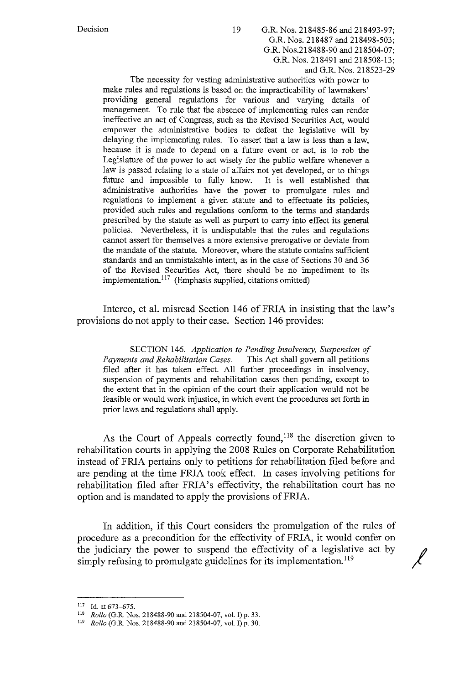and G.R. Nos. 218523-29

The necessity for vesting administrative authorities with power to make rules and regulations is based on the impracticability of lawmakers' providing general regulations for various and varying details of management. To rule that the absence of implementing rules can render ineffective an act of Congress, such as the Revised Securities Act, would empower the administrative bodies to defeat the legislative will by delaying the implementing rules. To assert that a law is less than a law, because it is made to depend on a future event or act, is to rob the Legislature of the power to act wisely for the public welfare whenever a law is passed relating to a state of affairs not yet developed, or to things future and impossible to fully know. It is well established that administrative authorities have the power to promulgate rules and regulations to implement a given statute and to effectuate its policies, provided such rules and regulations conform to the terms and standards prescribed by the statute as well as purport to carry into effect its general policies. Nevertheless, it is undisputable that the rules and regulations cannot assert for themselves a more extensive prerogative or deviate from the mandate of the statute. Moreover, where the statute contains sufficient standards and an unmistakable intent, as in the case of Sections 30 and 36 of the Revised Securities Act, there should be no impediment to its implementation.<sup>117</sup> (Emphasis supplied, citations omitted)

Interco, et al. misread Section 146 of FRJA in insisting that the law's provisions do not apply to their case. Section 146 provides:

SECTION 146. *Application to Pending Insolvency, Suspension of Payments and Rehabilitation Cases.* - This Act shall govern all petitions filed after it has taken effect. All further proceedings in insolvency, suspension of payments and rehabilitation cases then pending, except to the extent that in the opinion of the court their application would not be feasible or would work injustice, in which event the procedures set forth in prior laws and regulations shall apply.

As the Court of Appeals correctly found,<sup>118</sup> the discretion given to rehabilitation courts in applying the 2008 Rules on Corporate Rehabilitation instead of FRJA pertains only to petitions for rehabilitation filed before and are pending at the time FRJA took effect. In cases involving petitions for rehabilitation filed after FRJA's effectivity, the rehabilitation court has no option and is mandated to apply the provisions ofFRJA.

In addition, if this Court considers the promulgation of the rules of procedure as a precondition for the effectivity of FRJA, it would confer on the judiciary the power to suspend the effectivity of a legislative act by / simply refusing to promulgate guidelines for its implementation.<sup>119</sup>

 $117$  Id. at 673-675.

<sup>118</sup>*Rollo* (G.R. Nos. 218488-90 and 218504-07, vol. I) p. 33. 119 *Rollo* (G.R. Nos. 218488-90 and 218504-07, vol. I) p. 30.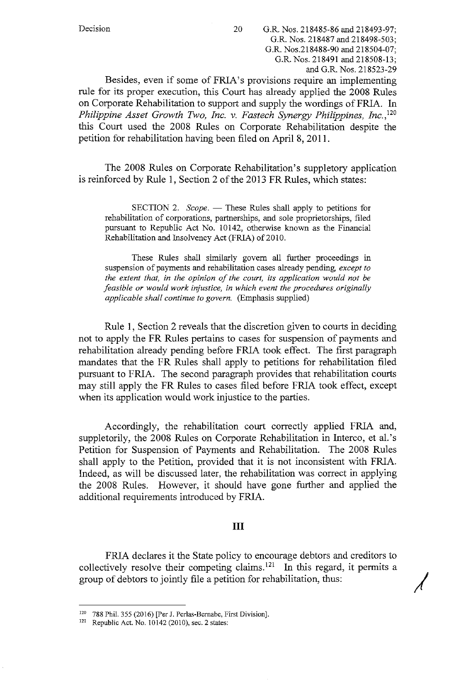Besides, even if some of FRIA's provisions require an implementing rule for its proper execution, this Court has already applied the 2008 Rules on Corporate Rehabilitation to support and supply the wordings ofFRIA. In *Philippine Asset Growth Two, Inc. v. Fastech Synergy Philippines, Inc., <sup>120</sup>* this Court used the 2008 Rules on Corporate Rehabilitation despite the petition for rehabilitation having been filed on April 8, 2011.

The 2008 Rules on Corporate Rehabilitation's suppletory application is reinforced by Rule 1, Section 2 of the 2013 FR Rules, which states:

SECTION 2. *Scope.* — These Rules shall apply to petitions for rehabilitation of corporations, partnerships, and sole proprietorships, filed pursuant to Republic Act No. 10142, otherwise known as the Financial Rehabilitation and Insolvency Act (FRIA) of 2010.

These Rules shall similarly govern all further proceedings in suspension of payments and rehabilitation cases already pending, *except to the extent that, in the opinion of the court, its application would not be feasible or would work injustice, in which event the procedures originally applicable shall continue to govern.* (Emphasis supplied)

Rule 1, Section 2 reveals that the discretion given to courts in deciding not to apply the FR Rules pertains to cases for suspension of payments and rehabilitation already pending before FRIA took effect. The first paragraph mandates that the FR Rules shall apply to petitions for rehabilitation filed pursuant to FRIA. The second paragraph provides that rehabilitation courts may still apply the FR Rules to cases filed before FRIA took effect, except when its application would work injustice to the parties.

Accordingly, the rehabilitation court correctly applied FRIA and, suppletorily, the 2008 Rules on Corporate Rehabilitation in lnterco, et al.'s Petition for Suspension of Payments and Rehabilitation. The 2008 Rules shall apply to the Petition, provided that it is not inconsistent with FRIA. Indeed, as will be discussed later, the rehabilitation was correct in applying the 2008 Rules. However, it should have gone further and applied the additional requirements introduced by FRIA.

# III

FRIA declares it the State policy to encourage debtors and creditors to collectively resolve their competing claims. <sup>121</sup> In this regard, it permits a group of debtors to jointly file a petition for rehabilitation, thus: *j* 

<sup>&</sup>lt;sup>120</sup> 788 Phil. 355 (2016) [Per J. Perlas-Bernabe, First Division].<br><sup>121</sup> Republic Act. No. 10142 (2010), sec. 2 states: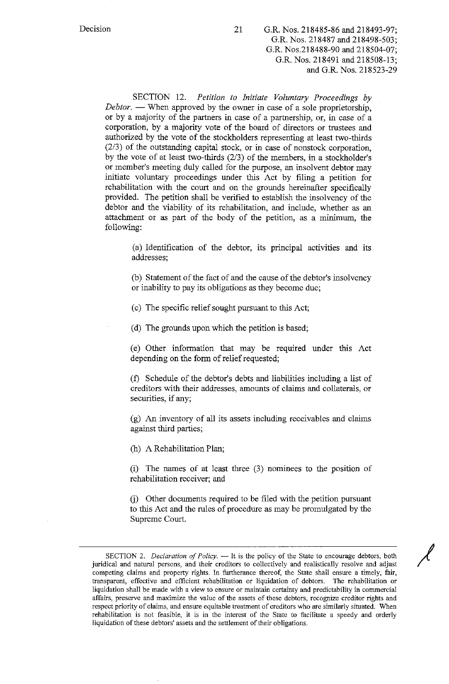Decision 21 G.R. Nos. 218485-86 and 218493-97; G.R. Nos. 218487 and 218498-503; G.R. Nos.218488-90 and 218504-07; G.R. Nos. 218491 and 218508-13; and G.R. Nos. 218523-29

SECTION 12. *Petition to Initiate Voluntary Proceedings by Debtor.* — When approved by the owner in case of a sole proprietorship, or by a majority of the partners in case of a partnership, or, in case of a corporation, by a majority vote of the board of directors or trustees and authorized by the vote of the stockholders representing at least two-thirds (2/3) of the outstanding capital stock, or in case of nonstock corporation, by the vote of at least two-thirds (2/3) of the members, in a stockholder's or member's meeting duly called for the purpose, an insolvent debtor may initiate voluntary proceedings under this Act by filing a petition for rehabilitation with the court and on the grounds hereinafter specifically provided. The petition shall be verified to establish the insolvency of the debtor and the viability of its rehabilitation, and include, whether as an attachment or as part of the body of the petition, as a minimum, the following:

(a) Identification of the debtor, its principal activities and its addresses;

(b) Statement of the fact of and the cause of the debtor's insolvency or inability to pay its obligations as they become due;

( c) The specific relief sought pursuant to this Act;

(d) The grounds upon which the petition is based;

( e) Other information that may be required under this Act depending on the form of relief requested;

(f) Schedule of the debtor's debts and liabilities including a list of creditors with their addresses, amounts of claims and collaterals, or securities, if any;

(g) An inventory of all its assets including receivables and claims against third parties;

(h) A Rehabilitation Plan;

(i) The names of at least three (3) nominees to the position of rehabilitation receiver; and

G) Other documents required to be filed with the petition pursuant to this Act and the rules of procedure as may be promulgated by the Supreme Court.

/

SECTION 2. *Declaration of Policy*. -- It is the policy of the State to encourage debtors, both juridical and natural persons, and their creditors to collectively and realistically resolve and adjust competing claims and property rights. In furtherance thereof, the State shall ensure a timely, fair, **transparent, effective and efficient rehabilitation or liquidation of debtors. The rehabilitation or liquidation shall be made with a view to ensure or maintain certainty and predictability in commercial affairs, preserve and maximize the value of the assets of these debtors, recognize creditor rights and respect priority of claims, and ensure equitable treatment of creditors who are similarly situated. When**  rehabilitation is not feasible, it is in the interest of the State to facilitate a speedy and orderly liquidation of these debtors' assets and the settlement of their obligations.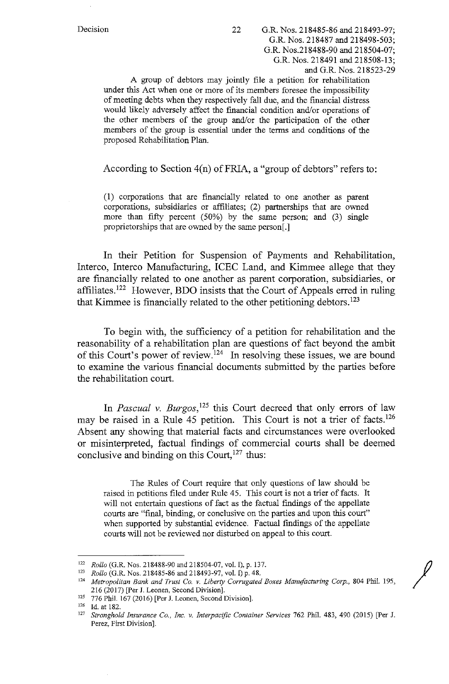A group of debtors may jointly file a petition for rehabilitation under this Act when one or more of its members foresee the impossibility of meeting debts when they respectively fall due, and the financial distress would likely adversely affect the financial condition and/or operations of the other members of the group and/or the participation of the other members of the group is essential under the terms and conditions of the proposed Rehabilitation Plan.

According to Section  $4(n)$  of FRIA, a "group of debtors" refers to:

(1) corporations that are financially related to one another as parent corporations, subsidiaries or affiliates; (2) partnerships that are owned more than fifty percent (50%) by the same person; and (3) single proprietorships that are owned by the same person[.]

In their Petition for Suspension of Payments and Rehabilitation, Interco, Interco Manufacturing, ICEC Land, and Kimmee allege that they are financially related to one another as parent corporation, subsidiaries, or affiliates.<sup>122</sup> However, BDO insists that the Court of Appeals erred in ruling that Kimmee is financially related to the other petitioning debtors. <sup>123</sup>

To begin with, the sufficiency of a petition for rehabilitation and the reasonability of a rehabilitation plan are questions of fact beyond the ambit of this Court's power of review.<sup>124</sup> In resolving these issues, we are bound to examine the various financial documents submitted by the parties before the rehabilitation court.

In *Pascual v. Burgos*,<sup>125</sup> this Court decreed that only errors of law may be raised in a Rule 45 petition. This Court is not a trier of facts.<sup>126</sup> Absent any showing that material facts and circumstances were overlooked or misinterpreted, factual findings of commercial courts shall be deemed conclusive and binding on this Court,  $127$  thus:

The Rules of Court require that only questions of law should be raised in petitions filed under Rule 45. This court is not a trier of facts. It will not entertain questions of fact as the factual findings of the appellate courts are "final, binding, or conclusive on the parties and upon this court" when supported by substantial evidence. Factual findings of the appellate courts will not be reviewed nor disturbed on appeal to this court.

<sup>&</sup>lt;sup>122</sup> Rollo (G.R. Nos. 218488-90 and 218504-07, vol. I), p. 137.<br><sup>123</sup> Rollo (G.R. Nos. 218485-86 and 218493-97, vol. I) p. 48.<br><sup>124</sup> Metropolitan Bank and Trust Co. v. Liberty Corrugated Boxes Manufacturing Corp., 804 Ph 216 (2017) [Per J. Leanen, Second Division]. 125 776 Phil. 167 (2016) [Per J. Leanen, Second Division]. 126 **Id. at 182.** 

<sup>127</sup>*Stronghold Insurance Co., Inc. v. Interpacific Container Services* 762 Phil. 483, 490 (2015) [Per J. Perez, First Division].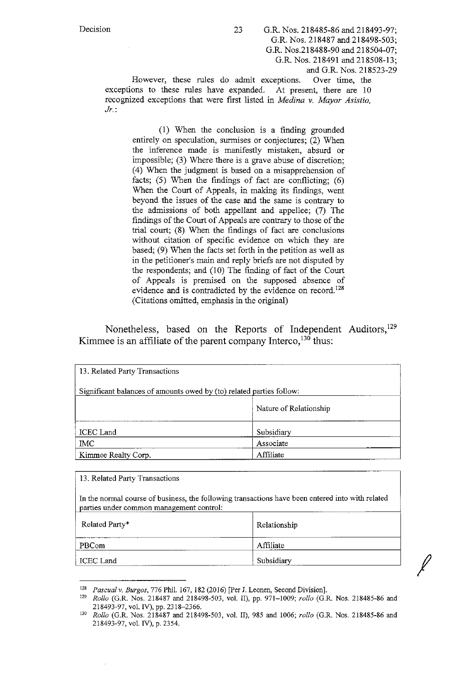However, these rules do admit exceptions. Over time, the exceptions to these rules have expanded. At present, there are 10 recognized exceptions that were first listed in *Medina v. Mayor Asistio, Jr.:* 

(1) When the conclusion is a finding grounded entirely on speculation, surmises or conjectures; (2) When the inference made is manifestly mistaken, absurd or impossible; (3) Where there is a grave abuse of discretion; (4) When the judgment is based on a misapprehension of facts;  $(5)$  When the findings of fact are conflicting;  $(6)$ When the Court of Appeals, in making its findings, went beyond the issues of the case and the same is contrary to the admissions of both appellant and appellee; (7) The findings of the Court of Appeals are contrary to those of the trial court; (8) When the findings of fact are conclusions without citation of specific evidence on which they are based; (9) When the facts set forth in the petition as well as in the petitioner's main and reply briefs are not disputed by the respondents; and (10) The finding of fact of the Court of Appeals is premised on the supposed absence of evidence and is contradicted by the evidence on record.<sup>128</sup> (Citations omitted, emphasis in the original)

Nonetheless, based on the Reports of Independent Auditors,<sup>129</sup> Kimmee is an affiliate of the parent company Interco,  $130$  thus: '

| 13. Related Party Transactions                                       |                        |  |
|----------------------------------------------------------------------|------------------------|--|
| Significant balances of amounts owed by (to) related parties follow: |                        |  |
|                                                                      | Nature of Relationship |  |
| ICEC Land                                                            | Subsidiary             |  |
| <b>IMC</b>                                                           | Associate              |  |
| Kimmee Realty Corp.                                                  | Affiliate              |  |

| 13. Related Party Transactions                                                                                                               |              |  |
|----------------------------------------------------------------------------------------------------------------------------------------------|--------------|--|
| In the normal course of business, the following transactions have been entered into with related<br>parties under common management control: |              |  |
| Related Party*                                                                                                                               | Relationship |  |
| <b>PBCom</b>                                                                                                                                 | Affiliate    |  |
| <b>ICEC</b> Land                                                                                                                             | Subsidiary   |  |

<sup>128</sup>*Pascual v. Burgos,* 776 Phil. 167, 182 (2016) [Per J. Leanen, Second Division]. 129 *Rollo* (G.R. Nos. 218487 and 218498-503, vol. II), pp. 971-1009; *rollo* (G.R. Nos. 218485-86 and 218493-97, vol. IV), pp. 2318-2366. 130 *Rollo* (G.R. Nos. 218487 and 218498-503, vol. II), 985 and 1006; *rollo* (G.R. Nos. 218485-86 and

<sup>218493-97,</sup> vol. IV), p. 2354.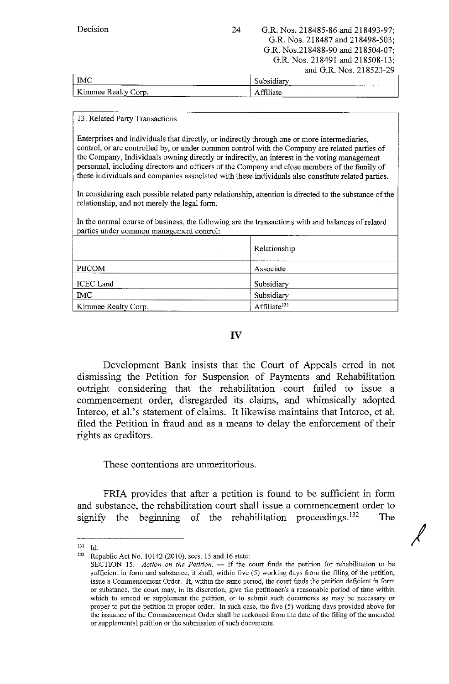| Decision<br>24      | G.R. Nos. 218485-86 and 218493-97;<br>G.R. Nos. 218487 and 218498-503;<br>G.R. Nos.218488-90 and 218504-07;<br>G.R. Nos. 218491 and 218508-13;<br>and G.R. Nos. 218523-29 |
|---------------------|---------------------------------------------------------------------------------------------------------------------------------------------------------------------------|
| IMC.                | Subsidiary                                                                                                                                                                |
| Kimmee Realty Corp. | Affiliate                                                                                                                                                                 |

#### 13. Related Party Transactions

Enterprises and individuals that directly, or indirectly through one or more intermediaries, control, or are controlled by, or under common control with the Company are related parties of the Company, Individuals owning directly or indirectly, an interest in the voting management personnel, including directors and officers of the Company and close members of the family of these individuals and companies associated with these individuals also constitute related parties.

In considering each possible related party relationship, attention is directed to the substance of the relationship, and not merely the legal form.

In the normal course of business, the following are the transactions with and balances of related parties under common management control:

|                     | Relationship             |
|---------------------|--------------------------|
| PBCOM               | Associate                |
| ICEC Land           | Subsidiary               |
| <b>IMC</b>          | Subsidiary               |
| Kimmee Realty Corp. | Affiliate <sup>131</sup> |

### **IV**

Development Bank insists that the Court of Appeals erred in not dismissing the Petition for Suspension of Payments and Rehabilitation outright considering that the rehabilitation court failed to issue a commencement order, disregarded its claims, and whimsically adopted Interco, et al.'s statement of claims. It likewise maintains that Interco, et al. filed the Petition in fraud and as a means to delay the enforcement of their rights as creditors.

These contentions are unmeritorious.

FRIA provides that after a petition is found to be sufficient in form and substance, the rehabilitation court shall issue a commencement order to signify the beginning of the rehabilitation proceedings.<sup>132</sup> The

<sup>131</sup>**Id.** 

<sup>132</sup>**Republic Act No. 10142 (2010), secs. 15 and 16 state:** 

SECTION 15. *Action on the Petition*. --- If the court finds the petition for rehabilitation to be sufficient in form and substance, it shall, within five (5) working days from the filing of the petition, **issue a Commencement Order. If, within the same period, the court fmds the petition deficient in form or substance, the court may, in its discretion, give the petitioner/s a reasonable period of time within**  which to amend or supplement the petition, or to submit such documents as may be necessary or proper to put the petition in proper order. In such case, the five (5) working days provided above for **the issuance of the Commencement Order shall be reckoned from the date of the filing of the amended or supplemental petition or the submission of such documents.**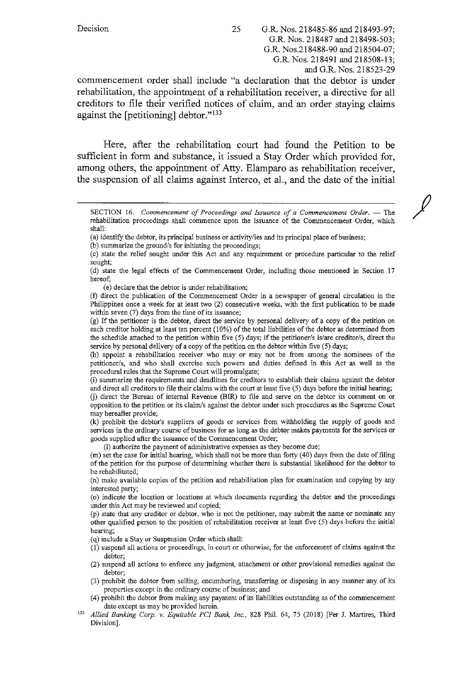*I* 

commencement order shall include "a declaration that the debtor is under rehabilitation, the appointment of a rehabilitation receiver, a directive for all creditors to file their verified notices of claim, and an order staying claims against the  $[petitioning]$  debtor." $133$ 

Here, after the rehabilitation court had found the Petition to be sufficient in form and substance, it issued a Stay Order which provided for, among others, the appointment of Atty. Elamparo as rehabilitation receiver, the suspension of all claims against Interco, et al., and the date of the initial

- (a) identify the debtor, its principal business or activity/ies and its principal place of business;
- (b) sunnnarize the ground/s for initiating the proceedings;

( e) declare that the debtor is under rehabilitation;

(f) direct the publication of the Commencement Order in a newspaper of general circulation in the Philippines once a week for at least two (2) consecutive weeks, with the first publication to be made within seven (7) days from the time of its issuance;

(g) If the petitioner is the debtor, direct the service by personal delivery of a copy of the petition on each creditor holding at least ten percent (10%) of the total liabilities of the debtor as determined from the schedule attached to the petition within five  $(5)$  days; if the petitioner/s is/are creditor/s, direct the service by personal delivery of a copy of the petition on the debtor within five (5) days;

(h) appoint a rehabilitation receiver who may or may not be from among the nominees of the **petitioner/s, and who shall exercise such powers and duties defined in this Act as well as the**  procedural rules that the Supreme Court will promulgate;

(i) summarize the requirements and deadlines for creditors to establish their claims against the debtor and direct all creditors to file their claims with the court at least five (5) days before the initial hearing;

G) direct the Bureau of internal Revenue (BIR) to file and serve on the debtor its comment on or opposition to the petition or its claim/s against the debtor under such procedures as the Supreme Court may hereafter provide;

(k) prohibit the debtor's suppliers of goods or services from withholding the supply of goods and **services in the ordinary course of business for as long as the debtor makes payments for the services or goods supplied after the issuance of the Commencement Order;** 

(1) authorize the payment of administrative expenses as they become due;

(m) set the case for initial hearing, which shall not be more than forty ( 40) days from the date of filing of the petition for the purpose of determining whether there is substantial likelihood for the debtor to be rehabilitated;

(n) make available copies of the petition and rehabilitation plan for examination and copying by any interested party;

( o) indicate the location or locations at which documents regarding the debtor and the proceedings **under this Act may be reviewed and copied;** 

**(p) state that any creditor or debtor, who is not the petitioner, may submit the name or nominate any**  other qualified person to the position of rehabilitation receiver at least five (5) days before the initial hearing;

( q) include a Stay or Suspension Order which shall:

- (I) suspend all actions or proceedings, in court or otherwise, for the enforcement of claims against the debtor;
- (2) suspend all actions to enforce any judgment, attachment or other provisional remedies against the debtor;
- (3) prohibit the debtor from selling, encumbering, transferring or disposing in any manner any of its properties except in the ordinary course of business; and
- (4) prohibit the debtor from making any payment of its liabilities outstanding as of the commencement
- date except as may be provided herein.<br><sup>133</sup> *Allied Banking Corp. v. Equitable PCI Bank, Inc.*, 828 Phil. 64, 75 (2018) [Per J. Martires, Third Division].

**SECTION 16.** *Commencement of Proceedings and Issuance of a Commencement Order.* **- The**  rehabilitation proceedings shall commence upon the issuance of the Commencement Order, which shall:

<sup>(</sup> c) state the relief sougbt under this Act and any requirement or procedure particular to the relief sought;

<sup>(</sup> d) state the legal effects of the Connnencement Order, including those mentioned in Section 17 hereof;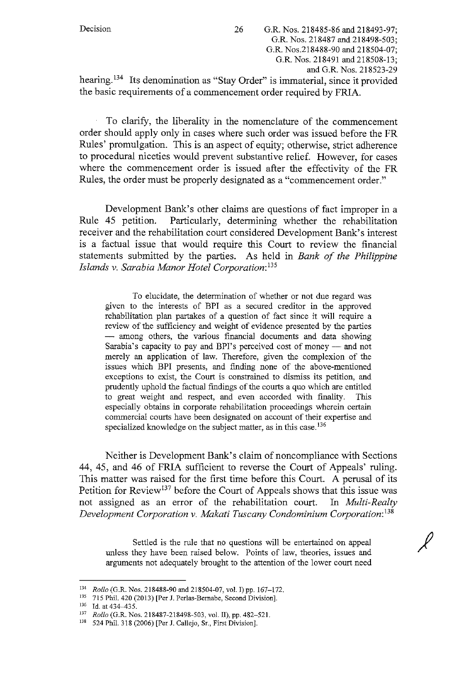hearing.<sup>134</sup> Its denomination as "Stay Order" is immaterial, since it provided the basic requirements of a commencement order required by FRIA.

To clarify, the liberality in the nomenclature of the commencement order should apply only in cases where such order was issued before the FR Rules' promulgation. This is an aspect of equity; otherwise, strict adherence to procedural niceties would prevent substantive relief. However, for cases where the commencement order is issued after the effectivity of the **FR**  Rules, the order must be properly designated as a "commencement order."

Development Bank's other claims are questions of fact improper in a Rule 45 petition. Particularly, determining whether the rehabilitation receiver and the rehabilitation court considered Development Bank's interest is a factual issue that would require this Court to review the financial statements submitted by the parties. As held in *Bank of the Philippine Islands v. Sarabia Manor Hotel Corporation: <sup>135</sup>*

To elucidate, the determination of whether or not due regard was given to the interests of BPI as a secured creditor in the approved rehabilitation plan partakes of a question of fact since it will require a review of the sufficiency and weight of evidence presented by the parties - among others, the various financial documents and data showing Sarabia's capacity to pay and BPI's perceived cost of money - and not merely an application of law. Therefore, given the complexion of the issues which BPI presents, and finding none of the above-mentioned exceptions to exist, the Court is constrained to dismiss its petition, and prudently uphold the factual findings of the courts a quo which are entitled to great weight and respect, and even accorded with finality. This especially obtains in corporate rehabilitation proceedings wherein certain commercial courts have been designated on account of their expertise and specialized knowledge on the subject matter, as in this case.<sup>136</sup>

Neither is Development Bank's claim of noncompliance with Sections 44, 45, and 46 of FRIA sufficient to reverse the Court of Appeals' ruling. This matter was raised for the first time before this Court. A perusal of its Petition for Review<sup>137</sup> before the Court of Appeals shows that this issue was not assigned as an error of the rehabilitation court. In *Multi-Realty Development Corporation v. Makati Tuscany Condominium Corporation:* <sup>138</sup>

Settled is the rule that no questions will be entertained on appeal unless they have been raised below. Points of law, theories, issues and arguments not adequately brought to the attention of the lower court need  $\ell$ 

<sup>&</sup>lt;sup>134</sup> *Rollo* (G.R. Nos. 218488-90 and 218504-07, vol. I) pp. 167-172.<br><sup>135</sup> 715 Phil. 420 (2013) [Per J. Perlas-Bernabe, Second Division].<br><sup>136</sup> Id. at 434-435.<br><sup>137</sup> *Rollo* (G.R. Nos. 218487-218498-503, vol. II), pp. 4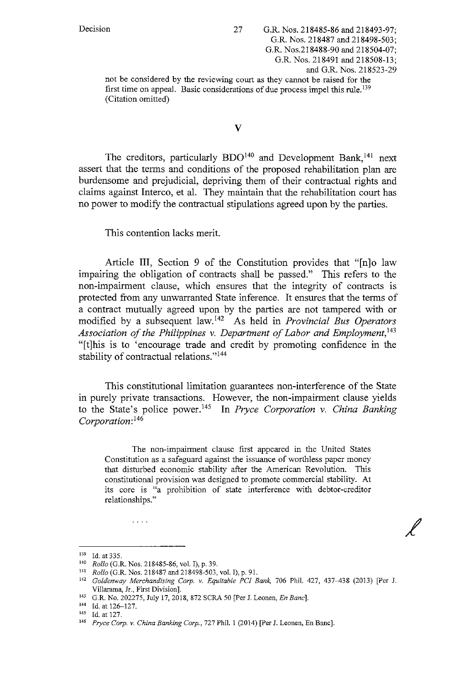not be considered by the reviewing court as they cannot be raised for the first time on appeal. Basic considerations of due process impel this rule.<sup>139</sup> (Citation omitted)

# **V**

The creditors, particularly BDO<sup>140</sup> and Development Bank,<sup>141</sup> next assert that the terms and conditions of the proposed rehabilitation plan are burdensome and prejudicial, depriving them of their contractual rights and claims against Interco, et al. They maintain that the rehabilitation court has no power to modify the contractual stipulations agreed upon by the parties.

This contention lacks merit.

Article **III,** Section 9 of the Constitution provides that "[n]o law impairing the obligation of contracts shall be passed." This refers to the non-impairment clause, which ensures that the integrity of contracts is protected from any unwarranted State inference. It ensures that the terms of a contract mutually agreed upon by the parties are not tampered with or modified by a subsequent law. 142 As held in *Provincial Bus Operators Association of the Philippines v. Department of Labor and Employment,* <sup>143</sup> "[t]his is to 'encourage trade and credit by promoting confidence in the stability of contractual relations."<sup>144</sup>

This constitutional limitation guarantees non-interference of the State in purely private transactions. However, the non-impairment clause yields to the State's police power. 145 In *Pryce Corporation v. China Banking Corporation:* <sup>146</sup>

The non-impairment clause first appeared in the United States Constitution as a safeguard against the issuance of worthless paper money that disturbed economic stability after the American Revolution. *This*  constitutional provision was designed to promote commercial stability. At its core is "a prohibition of state interference with debtor-creditor relationships."

 $\sim$   $\sim$   $\sim$   $\sim$ 

<sup>139</sup> **Id. at 335.** 

<sup>140</sup> *Rollo* (G.R. Nos. 218485-86, vol. I), p. 39.<br>
<sup>141</sup> *Rollo* (G.R. Nos. 218487 and 218498-503, vol. I), p. 91.

<sup>&</sup>lt;sup>142</sup> Goldenway Merchandising Corp. v. Equitable PCI Bank, 706 Phil. 427, 437-438 (2013) [Per J.

Villarama, Jr., First Division]. 143 **G.R. No. 202275, July 17, 2018, 872 SCRA 50 [Per J. Leanen,** *En Banc].* 

<sup>144</sup> Id. at 126-127. 145 **Id. at 127.** 

<sup>146</sup> *Pryce Corp. v. China Banking Corp.,* 727 Phil. 1 (2014) [Per J. Leonen, En Banc].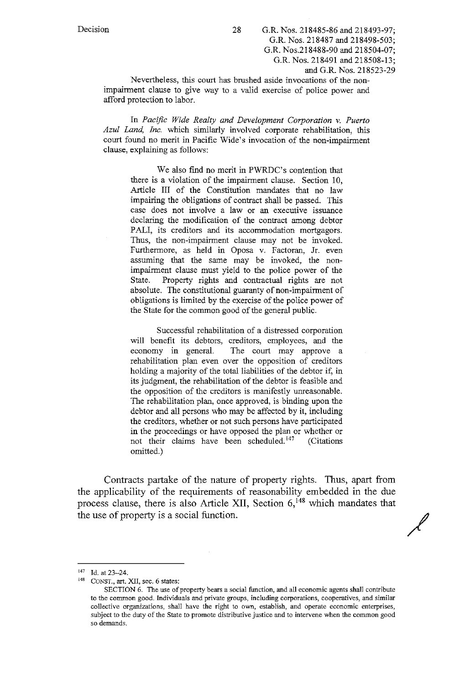Nevertheless, this court has brushed aside invocations of the nonimpairment clause to give way to a valid exercise of police power and afford protection to labor.

In *Pacific Wide Realty and Development Corporation v. Puerto Azul Land, Inc.* which similarly involved corporate rehabilitation, this court found no merit in Pacific Wide's invocation of the non-impairment clause, explaining as follows:

> We also find no merit in PWRDC's contention that there is a violation of the impairment clause. Section 10, Article III of the Constitution mandates that no law impairing the obligations of contract shall be passed. This case does not involve a law or an executive issuance declaring the modification of the contract among debtor PALI, its creditors and its accommodation mortgagors. Thus, the non-impairment clause may not be invoked. Furthermore, as held in Oposa v. Factoran, Jr. even assuming that the same may be invoked, the nonimpairment clause must yield to the police power of the State. Property rights and contractual rights are not absolute. The constitutional guaranty of non-impairment of obligations is limited by the exercise of the police power of the State for the common good of the general public.

> Successful rehabilitation of a distressed corporation will benefit its debtors, creditors, employees, and the economy in general. The court may approve a rehabilitation plan even over the opposition of creditors holding a majority of the total liabilities of the debtor if, in its judgment, the rehabilitation of the debtor is feasible and the opposition of the creditors is manifestly unreasonable. The rehabilitation plan, once approved, is binding upon the debtor and all persons who may be affected by it, including the creditors, whether or not such persons have participated in the proceedings or have opposed the plan or whether or not their claims have been scheduled.<sup>147</sup> (Citations omitted.)

Contracts partake of the nature of property rights. Thus, apart from the applicability of the requirements of reasonability embedded in the due process clause, there is also Article XII, Section  $6$ ,  $148$  which mandates that the use of property is a social function.

/

<sup>147</sup> Id. at 23-24. 148 **CONST., art. XII, sec. 6 states:** 

SECTION 6. The use of property bears a social function, and all economic agents shall contribute **to the common good. Individuals and private groups, including corporations, cooperatives, and similar collective organizations, shall have the right to own, establish, and operate economic enterprises, subject to the duty of the State to promote distributive justice and to intervene when the common good so demands.**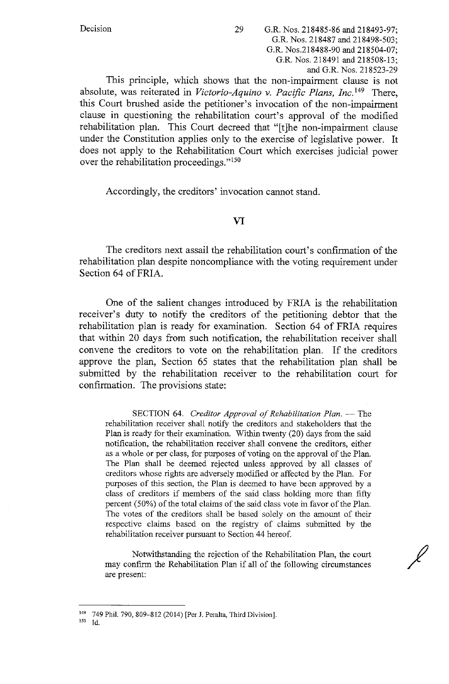This principle, which shows that the non-impairment clause is not absolute, was reiterated in *Victoria-Aquino v. Pacific Plans, Inc.* 149 There, this Court brushed aside the petitioner's invocation of the non-impairment clause in questioning the rehabilitation court's approval of the modified rehabilitation plan. This Court decreed that "[t]he non-impairment clause under the Constitution applies only to the exercise of legislative power. It does not apply to the Rehabilitation Court which exercises judicial power over the rehabilitation proceedings."<sup>150</sup>

Accordingly, the creditors' invocation cannot stand.

# VI

The creditors next assail the rehabilitation court's confirmation of the rehabilitation plan despite noncompliance with the voting requirement under Section 64 of FRIA.

One of the salient changes introduced by FRlA is the rehabilitation receiver's duty to notify the creditors of the petitioning debtor that the rehabilitation plan is ready for examination. Section 64 of FRlA requires that within 20 days from such notification, the rehabilitation receiver shall convene the creditors to vote on the rehabilitation plan. If the creditors approve the plan, Section 65 states that the rehabilitation plan shall be submitted by the rehabilitation receiver to the rehabilitation court for confirmation. The provisions state:

SECTION 64. *Creditor Approval of Rehabilitation Plan.* -- The rehabilitation receiver shall notify the creditors and stakeholders that the Plan is ready for their examination. Within twenty (20) days from the said notification, the rehabilitation receiver shall convene the creditors, either as a whole or per class, for purposes of voting on the approval of the Plan. The Plan shall be deemed rejected unless approved by all classes of creclitors whose rights are adversely modified or affected by the Plan. For purposes of this section, the Plan is deemed to have been approved by a class of creclitors if members of the said class holding more than fifty percent ( 50%) of the total claims of the said class vote in favor of the Plan. The votes of the creditors shall be based solely on the amount of their respective claims based on the registry of claims submitted by the rehabilitation receiver pursuant to Section 44 hereof.

Notwithstanding the rejection of the Rehabilitation Plan, the court may confirm the Rehabilitation Plan if all of the following circumstances are present:

 $\cancel{\ell}$ 

<sup>149 749</sup> Phil. 790, 809-812 (2014) [Per J. Peralta. Third Division].

<sup>1</sup>so Id.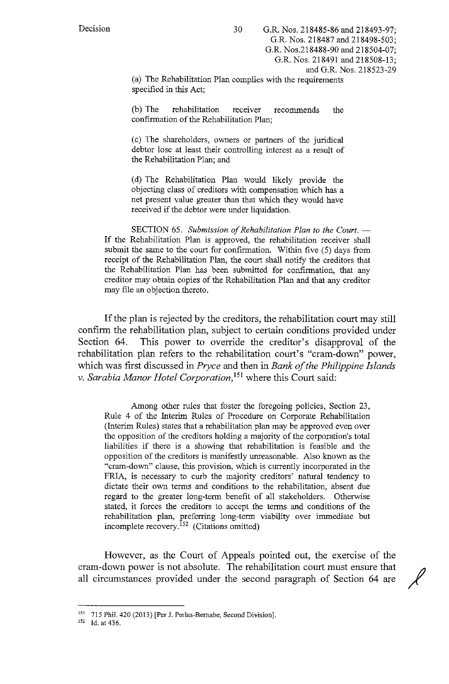(a) The Rehabilitation Plan complies with the requirements specified in this Act;

(b) The rehabilitation receiver recommends the confirmation of the Rehabilitation Plan;

( c) The shareholders, owners or partners of the juridical debtor lose at least their controlling interest as a result of the Rehabilitation Plan; and

( d) The Rehabilitation Plan would likely provide the objecting class of creditors with compensation which has a net present value greater than that which they would have received if the debtor were under liquidation.

SECTION 65. Submission of Rehabilitation Plan to the Court. -If the Rehabilitation Plan is approved, the rehabilitation receiver shall submit the same to the court for confirmation. Within five  $(5)$  days from receipt of the Rehabilitation Plan, the court shall notify the creditors that the Rehabilitation Plan has been submitted for confirmation, that any creditor may obtain copies of the Rehabilitation Plan and that any creditor may file an objection thereto.

If the plan is rejected by the creditors, the rehabilitation court may still confirm the rehabilitation plan, subject to certain conditions provided under Section 64. This power to override the creditor's disapproval of the rehabilitation plan refers to the rehabilitation court's "cram-down" power, which was first discussed in *Pryce* and then in *Bank of the Philippine Islands v. Sarabia Manor Hotel Corporation,* 151 where this Court said:

Among other rules that foster the foregoing policies, Section 23, Rule 4 of the Interim Rules of Procedure on Corporate Rehabilitation (Interim Rules) states that a rehabilitation plan may be approved even over the opposition of the creditors holding a majority of the corporation's total liabilities if there is a showing that rehabilitation is feasible and the opposition of the creditors is manifestly unreasonable. Also known as the "cram-down" clause, this provision, which is currently incorporated in the FRIA, is necessary to curb the majority creditors' natural tendency to dictate their own terms and conditions to the rehabilitation, absent due regard to the greater long-term benefit of all stakeholders. Otherwise stated, it forces the creditors to accept the terms and conditions of the rehabilitation plan, preferring long-term viability over immediate but incomplete recovery.<sup>152</sup> (Citations omitted)

However, as the Court of Appeals pointed out, the exercise of the cram-down power is not absolute. The rehabilitation court must ensure that ~ all circumstances provided under the second paragraph of Section 64 are

<sup>151 715</sup> Phil. 420 (2013) [Per J. Perlas-Bernabe, Second Division]. 152 **Id. at 436.**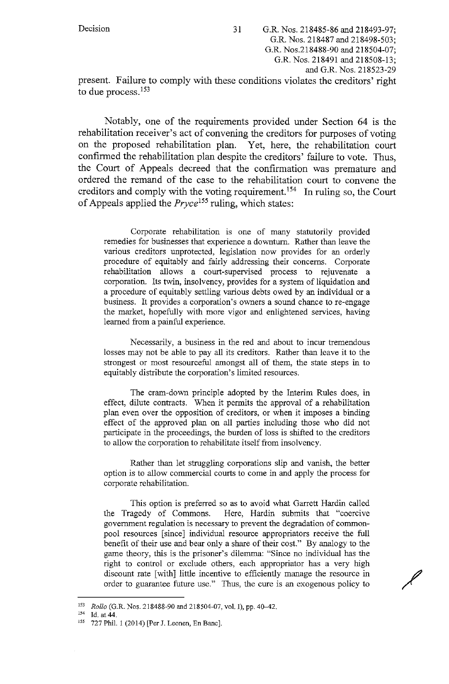present. Failure to comply with these conditions violates the creditors' right to due process.<sup>153</sup>

Notably, one of the requirements provided under Section 64 is the rehabilitation receiver's act of convening the creditors for purposes of voting on the proposed rehabilitation plan. Yet, here, the rehabilitation court confirmed the rehabilitation plan despite the creditors' failure to vote. Thus, the Court of Appeals decreed that the confirmation was premature and ordered the remand of the case to the rehabilitation court to convene the creditors and comply with the voting requirement. 154 In ruling so, the Court of Appeals applied the *Pryce155* ruling, which states:

Corporate rehabilitation is one of many statutorily provided remedies for businesses that experience a downturn. Rather than leave the various creditors unprotected, legislation now provides for an orderly procedure of equitably and fairly addressing their concerns. Corporate rehabilitation allows a court-supervised process to rejuvenate a corporation. Its twin, insolvency, provides for a system of liquidation and a procedure of equitably settling various debts owed by an individual or a business. It provides a corporation's owners a sound chance to re-engage the market, hopefully with more vigor and enlightened services, having learned from a painful experience.

Necessarily, a business in the red and about to incur tremendous losses may not be able to pay all its creditors. Rather than leave it to the strongest or most resourceful amongst all of them, the state steps in to equitably distribute the corporation's limited resources.

The cram-down principle adopted by the Interim Rules does, in effect, dilute contracts. When it permits the approval of a rehabilitation plan even over the opposition of creditors, or when it imposes a binding effect of the approved plan on all parties including those who did not participate in the proceedings, the burden of loss is shifted to the creditors to allow the corporation to rehabilitate itself from insolvency.

Rather than let struggling corporations slip and vanish, the better option is to allow commercial courts to come in and apply the process for corporate rehabilitation.

This option is preferred so as to avoid what Garrett Hardin called the Tragedy of Commons. Here, Hardin submits that "coercive government regulation is necessary to prevent the degradation of commonpool resources [since] individual resource appropriators receive the full benefit of their use and bear only a share of their cost." By analogy to the game theory, this is the prisoner's dilemma: "Since no individual has the right to control or exclude others, each appropriator has a very high discount rate [with] little incentive to efficiently manage the resource in order to guarantee future use." Thus, the cure is an exogenous policy to

<sup>153</sup> *Rollo* (G.R. Nos. 218488-90 and 218504-07, vol. I), pp. 40–42.<br>
154 Id. at 44.<br>
155 727 Phil. 1 (2014) [Per J. Leonen, En Banc].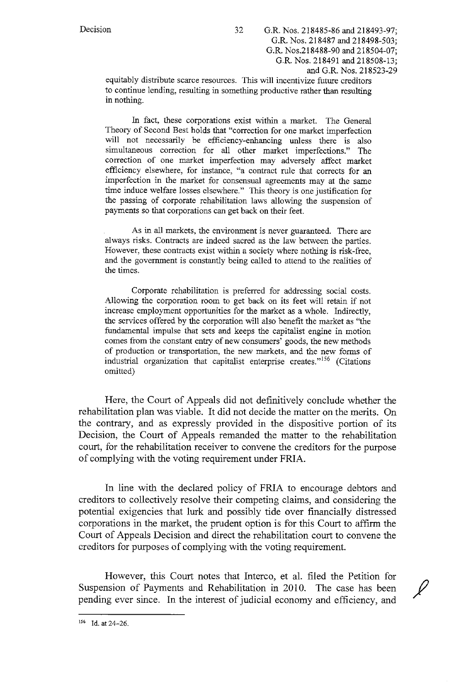equitably distribute scarce resources. This will incentivize future creditors to continue lending, resulting in something productive rather than resulting in nothing.

In fact, these corporations exist within a market. The General Theory of Second Best holds that "correction for one market imperfection will not necessarily be efficiency-enhancing unless there is also simultaneous correction for all other market imperfections." The correction of one market imperfection may adversely affect market efficiency elsewhere, for instance, "a contract rule that corrects for an imperfection in the market for consensual agreements may at the same time induce welfare losses elsewhere." This theory is one justification for the passing of corporate rehabilitation laws allowing the suspension of payments so that corporations can get back on their feet.

As in all markets, the enviromnent is never guaranteed. There are always risks. Contracts are indeed sacred as the law between the parties. However, these contracts exist within a society where nothing is risk-free, and the govermnent is constantly being called to attend to the realities of the times.

Corporate rehabilitation is preferred for addressing social costs. Allowing the corporation room to get back on its feet will retain if not increase employment opportunities for the market as a whole. Indirectly, the services offered by the corporation will also benefit the market as "the fundamental impulse that sets and keeps the capitalist engine in motion comes from the constant entry of new consumers' goods, the new methods of production or transportation, the new markets, and the new forms of industrial organization that capitalist enterprise creates."<sup>156</sup> (Citations omitted)

Here, the Court of Appeals did not definitively conclude whether the rehabilitation plan was viable. It did not decide the matter on the merits. On the contrary, and as expressly provided in the dispositive portion of its Decision, the Court of Appeals remanded the matter to the rehabilitation court, for the rehabilitation receiver to convene the creditors for the purpose of complying with the voting requirement under FRIA.

In line with the declared policy of FRIA to encourage debtors and creditors to collectively resolve their competing claims, and considering the potential exigencies that lurk and possibly tide over financially distressed corporations in the market, the prudent option is for this Court to affirm the Court of Appeals Decision and direct the rehabilitation court to convene the creditors for purposes of complying with the voting requirement.

However, this Court notes that Interco, et al. filed the Petition for Suspension of Payments and Rehabilitation in 2010. The case has been pending ever since. In the interest of judicial economy and efficiency, and

<sup>156</sup> Id. at 24-26.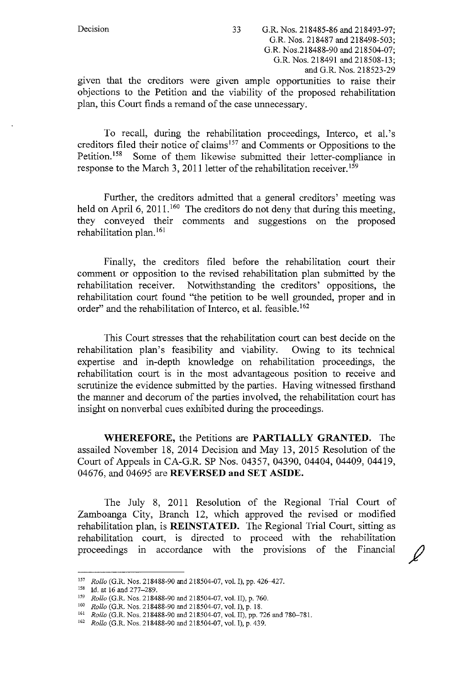given that the creditors were given ample opportunities to raise their objections to the Petition and the viability of the proposed rehabilitation plan, this Court finds a remand of the case unnecessary.

To recall, during the rehabilitation proceedings, Interco, et al.'s creditors filed their notice of claims 157 and Comments or Oppositions to the Petition.<sup>158</sup> Some of them likewise submitted their letter-compliance in response to the March 3, 2011 letter of the rehabilitation receiver.<sup>159</sup>

Further, the creditors admitted that a general creditors' meeting was held on April 6, 2011.<sup>160</sup> The creditors do not deny that during this meeting, they conveyed their comments and suggestions on the proposed rehabilitation plan. 161

Finally, the creditors filed before the rehabilitation court their comment or opposition to the revised rehabilitation plan submitted by the rehabilitation receiver. Notwithstanding the creditors' oppositions, the rehabilitation court found ''the petition to be well grounded, proper and in order" and the rehabilitation of Interco, et al. feasible.<sup>162</sup>

This Court stresses that the rehabilitation court can best decide on the rehabilitation plan's feasibility and viability. Owing to its technical expertise and in-depth knowledge on rehabilitation proceedings, the rehabilitation court is in the most advantageous position to receive and scrutinize the evidence submitted by the parties. Having witnessed firsthand the manner and decorum of the parties involved, the rehabilitation court has insight on nonverbal cues exhibited during the proceedings.

**WHEREFORE,** the Petitions are **PARTIALLY GRANTED.** The assailed November 18, 2014 Decision and May 13, 2015 Resolution of the Court of Appeals in CA-G.R. SP Nos. 04357, 04390, 04404, 04409, 04419, 04676, and 04695 are **REVERSED and SET ASIDE.** 

The July 8, 2011 Resolution of the Regional Trial Court of Zamboanga City, Branch 12, which approved the revised or modified rehabilitation plan, is **REINSTATED.** The Regional Trial Court, sitting as rehabilitation court, is directed to proceed with the rehabilitation proceedings in accordance with the provisions of the Financial

<sup>&</sup>lt;sup>157</sup> *Rollo* (G.R. Nos. 218488-90 and 218504-07, vol. I), pp. 426–427.<br>
<sup>158</sup> 1d. at 16 and 277–289.<br> *Rollo* (G.R. Nos. 218488-90 and 218504-07, vol. II), p. 760.<br> *Nos. Rollo* (G.R. Nos. 218488-90 and 218504-07, vol.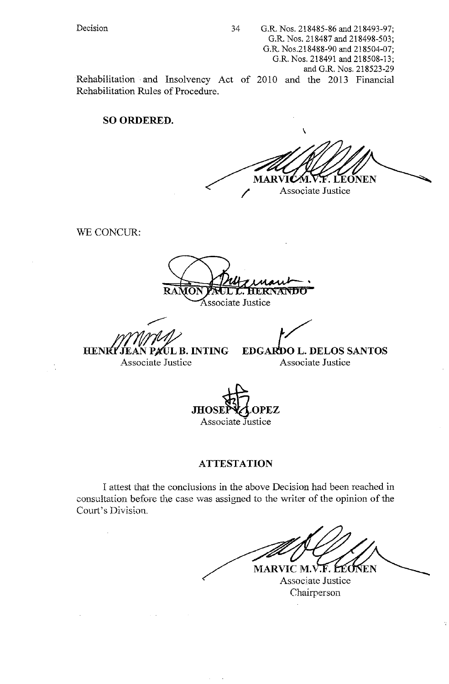Rehabilitation · and Insolvency Act of 2010 and the 2013 Financial Rehabilitation Rules of Procedure.

# **SO ORDERED.**

\ **MARVI** F. LEONEN Associate Justice

WE CONCUR:

' Associate Justice

**HENRY JEAN PAUL B. INTING** 

**EDGARDO L. DELOS SANTOS** 

Associate Justice

Associate Justice

**JHOSEPYZLOPEZ** Associate Justice

# **ATTESTATION**

I attest that the condusions in the above Decision had been reached in consultation before the case was assigned to the writer of the opinion of the Court's Division.

MARVIC M.V.F. LEONEN Associate Justice

Chairperson